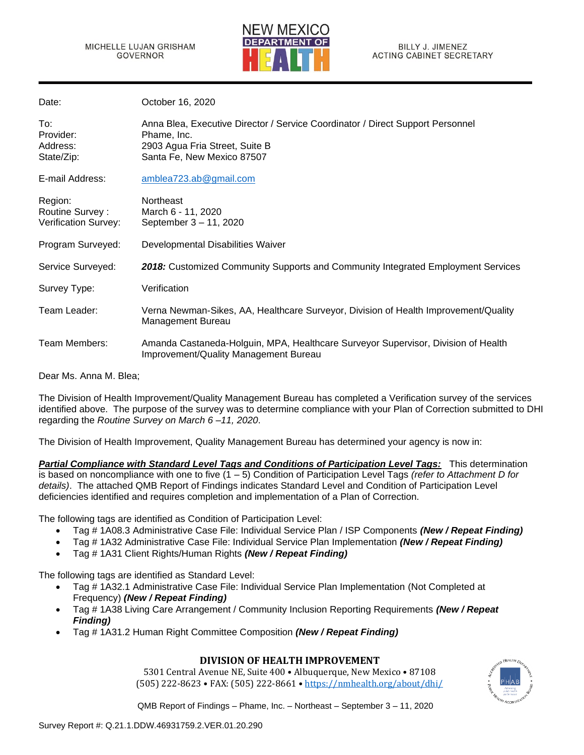

| Date:                                              | October 16, 2020                                                                                                                                              |
|----------------------------------------------------|---------------------------------------------------------------------------------------------------------------------------------------------------------------|
| To:<br>Provider:<br>Address:<br>State/Zip:         | Anna Blea, Executive Director / Service Coordinator / Direct Support Personnel<br>Phame, Inc.<br>2903 Agua Fria Street, Suite B<br>Santa Fe, New Mexico 87507 |
| E-mail Address:                                    | amblea723.ab@gmail.com                                                                                                                                        |
| Region:<br>Routine Survey:<br>Verification Survey: | Northeast<br>March 6 - 11, 2020<br>September 3 - 11, 2020                                                                                                     |
| Program Surveyed:                                  | Developmental Disabilities Waiver                                                                                                                             |
| Service Surveyed:                                  | 2018: Customized Community Supports and Community Integrated Employment Services                                                                              |
| Survey Type:                                       | Verification                                                                                                                                                  |
| Team Leader:                                       | Verna Newman-Sikes, AA, Healthcare Surveyor, Division of Health Improvement/Quality<br>Management Bureau                                                      |
| Team Members:                                      | Amanda Castaneda-Holguin, MPA, Healthcare Surveyor Supervisor, Division of Health<br>Improvement/Quality Management Bureau                                    |

Dear Ms. Anna M. Blea;

The Division of Health Improvement/Quality Management Bureau has completed a Verification survey of the services identified above. The purpose of the survey was to determine compliance with your Plan of Correction submitted to DHI regarding the *Routine Survey on March 6 –11, 2020*.

The Division of Health Improvement, Quality Management Bureau has determined your agency is now in:

*Partial Compliance with Standard Level Tags and Conditions of Participation Level Tags:* This determination is based on noncompliance with one to five (1 – 5) Condition of Participation Level Tags *(refer to Attachment D for details)*. The attached QMB Report of Findings indicates Standard Level and Condition of Participation Level deficiencies identified and requires completion and implementation of a Plan of Correction.

The following tags are identified as Condition of Participation Level:

- Tag # 1A08.3 Administrative Case File: Individual Service Plan / ISP Components *(New / Repeat Finding)*
- Tag # 1A32 Administrative Case File: Individual Service Plan Implementation *(New / Repeat Finding)*
- Tag # 1A31 Client Rights/Human Rights *(New / Repeat Finding)*

The following tags are identified as Standard Level:

- Tag # 1A32.1 Administrative Case File: Individual Service Plan Implementation (Not Completed at Frequency) *(New / Repeat Finding)*
- Tag # 1A38 Living Care Arrangement / Community Inclusion Reporting Requirements *(New / Repeat Finding)*
- Tag # 1A31.2 Human Right Committee Composition *(New / Repeat Finding)*

# **DIVISION OF HEALTH IMPROVEMENT**

5301 Central Avenue NE, Suite 400 • Albuquerque, New Mexico • 87108 (505) 222-8623 • FAX: (505) 222-8661 • <https://nmhealth.org/about/dhi/>

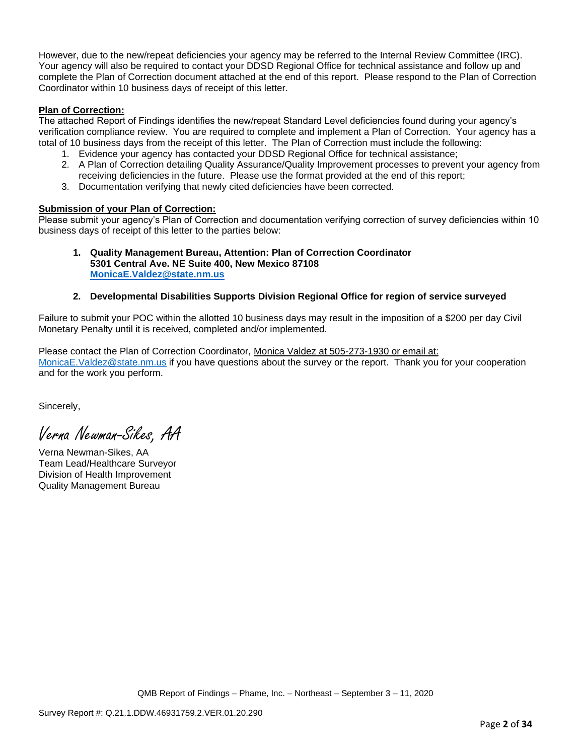However, due to the new/repeat deficiencies your agency may be referred to the Internal Review Committee (IRC). Your agency will also be required to contact your DDSD Regional Office for technical assistance and follow up and complete the Plan of Correction document attached at the end of this report. Please respond to the Plan of Correction Coordinator within 10 business days of receipt of this letter.

## **Plan of Correction:**

The attached Report of Findings identifies the new/repeat Standard Level deficiencies found during your agency's verification compliance review. You are required to complete and implement a Plan of Correction. Your agency has a total of 10 business days from the receipt of this letter. The Plan of Correction must include the following:

- 1. Evidence your agency has contacted your DDSD Regional Office for technical assistance;
- 2. A Plan of Correction detailing Quality Assurance/Quality Improvement processes to prevent your agency from receiving deficiencies in the future. Please use the format provided at the end of this report;
- 3. Documentation verifying that newly cited deficiencies have been corrected.

## **Submission of your Plan of Correction:**

Please submit your agency's Plan of Correction and documentation verifying correction of survey deficiencies within 10 business days of receipt of this letter to the parties below:

### **1. Quality Management Bureau, Attention: Plan of Correction Coordinator 5301 Central Ave. NE Suite 400, New Mexico 87108 [MonicaE.Valdez@state.nm.us](mailto:MonicaE.Valdez@state.nm.us)**

# **2. Developmental Disabilities Supports Division Regional Office for region of service surveyed**

Failure to submit your POC within the allotted 10 business days may result in the imposition of a \$200 per day Civil Monetary Penalty until it is received, completed and/or implemented.

Please contact the Plan of Correction Coordinator, Monica Valdez at 505-273-1930 or email at: [MonicaE.Valdez@state.nm.us](mailto:MonicaE.Valdez@state.nm.us) if you have questions about the survey or the report. Thank you for your cooperation and for the work you perform.

Sincerely,

Verna Newman-Sikes, AA

Verna Newman-Sikes, AA Team Lead/Healthcare Surveyor Division of Health Improvement Quality Management Bureau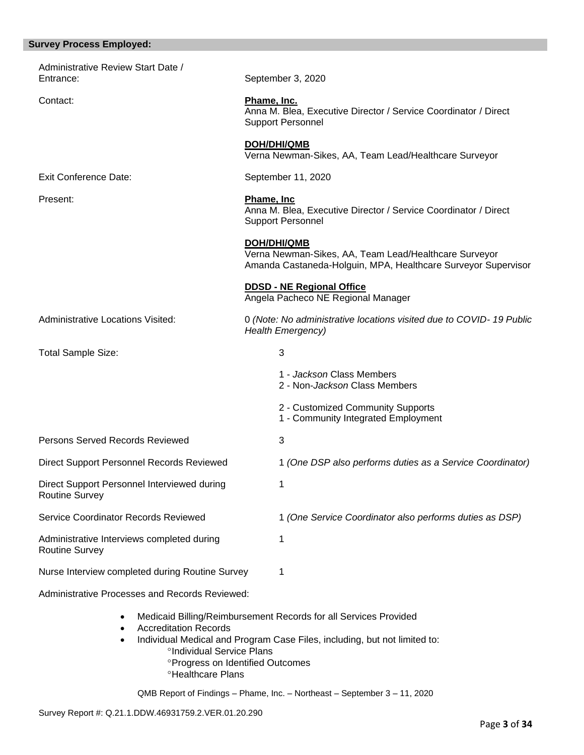## **Survey Process Employed:**

| Administrative Review Start Date /<br>Entrance:                      | September 3, 2020                                                                                                                             |  |  |
|----------------------------------------------------------------------|-----------------------------------------------------------------------------------------------------------------------------------------------|--|--|
| Contact:                                                             | Phame, Inc.<br>Anna M. Blea, Executive Director / Service Coordinator / Direct<br><b>Support Personnel</b>                                    |  |  |
|                                                                      | <b>DOH/DHI/QMB</b><br>Verna Newman-Sikes, AA, Team Lead/Healthcare Surveyor                                                                   |  |  |
| <b>Exit Conference Date:</b>                                         | September 11, 2020                                                                                                                            |  |  |
| Present:                                                             | Phame, Inc<br>Anna M. Blea, Executive Director / Service Coordinator / Direct<br><b>Support Personnel</b>                                     |  |  |
|                                                                      | <b>DOH/DHI/QMB</b><br>Verna Newman-Sikes, AA, Team Lead/Healthcare Surveyor<br>Amanda Castaneda-Holguin, MPA, Healthcare Surveyor Supervisor  |  |  |
|                                                                      | <b>DDSD - NE Regional Office</b><br>Angela Pacheco NE Regional Manager                                                                        |  |  |
| <b>Administrative Locations Visited:</b>                             | 0 (Note: No administrative locations visited due to COVID-19 Public<br><b>Health Emergency)</b>                                               |  |  |
| <b>Total Sample Size:</b>                                            | 3                                                                                                                                             |  |  |
|                                                                      | 1 - Jackson Class Members<br>2 - Non-Jackson Class Members                                                                                    |  |  |
|                                                                      | 2 - Customized Community Supports<br>1 - Community Integrated Employment                                                                      |  |  |
| Persons Served Records Reviewed                                      | 3                                                                                                                                             |  |  |
| Direct Support Personnel Records Reviewed                            | 1 (One DSP also performs duties as a Service Coordinator)                                                                                     |  |  |
| Direct Support Personnel Interviewed during<br><b>Routine Survey</b> |                                                                                                                                               |  |  |
| Service Coordinator Records Reviewed                                 | 1 (One Service Coordinator also performs duties as DSP)                                                                                       |  |  |
| Administrative Interviews completed during<br><b>Routine Survey</b>  | 1                                                                                                                                             |  |  |
| Nurse Interview completed during Routine Survey                      | 1                                                                                                                                             |  |  |
| Administrative Processes and Records Reviewed:                       |                                                                                                                                               |  |  |
| <b>Accreditation Records</b><br>°Individual Service Plans            | Medicaid Billing/Reimbursement Records for all Services Provided<br>Individual Medical and Program Case Files, including, but not limited to: |  |  |

- **Progress on Identified Outcomes**
- <sup>o</sup>Healthcare Plans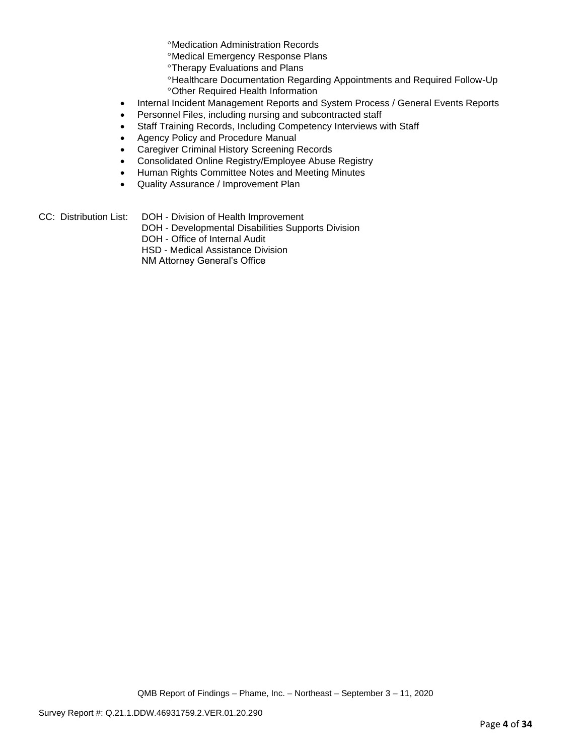Medication Administration Records

Medical Emergency Response Plans

**<sup>o</sup>Therapy Evaluations and Plans** 

- Healthcare Documentation Regarding Appointments and Required Follow-Up
- Other Required Health Information
- Internal Incident Management Reports and System Process / General Events Reports
- Personnel Files, including nursing and subcontracted staff
- Staff Training Records, Including Competency Interviews with Staff
- Agency Policy and Procedure Manual
- Caregiver Criminal History Screening Records
- Consolidated Online Registry/Employee Abuse Registry
- Human Rights Committee Notes and Meeting Minutes
- Quality Assurance / Improvement Plan
- CC: Distribution List: DOH Division of Health Improvement
	- DOH Developmental Disabilities Supports Division
	- DOH Office of Internal Audit
	- HSD Medical Assistance Division

NM Attorney General's Office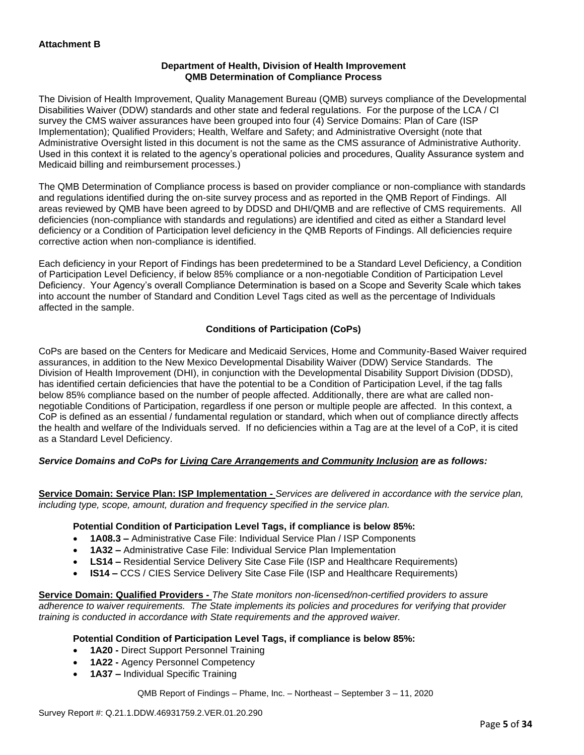## **Department of Health, Division of Health Improvement QMB Determination of Compliance Process**

The Division of Health Improvement, Quality Management Bureau (QMB) surveys compliance of the Developmental Disabilities Waiver (DDW) standards and other state and federal regulations. For the purpose of the LCA / CI survey the CMS waiver assurances have been grouped into four (4) Service Domains: Plan of Care (ISP Implementation); Qualified Providers; Health, Welfare and Safety; and Administrative Oversight (note that Administrative Oversight listed in this document is not the same as the CMS assurance of Administrative Authority. Used in this context it is related to the agency's operational policies and procedures, Quality Assurance system and Medicaid billing and reimbursement processes.)

The QMB Determination of Compliance process is based on provider compliance or non-compliance with standards and regulations identified during the on-site survey process and as reported in the QMB Report of Findings. All areas reviewed by QMB have been agreed to by DDSD and DHI/QMB and are reflective of CMS requirements. All deficiencies (non-compliance with standards and regulations) are identified and cited as either a Standard level deficiency or a Condition of Participation level deficiency in the QMB Reports of Findings. All deficiencies require corrective action when non-compliance is identified.

Each deficiency in your Report of Findings has been predetermined to be a Standard Level Deficiency, a Condition of Participation Level Deficiency, if below 85% compliance or a non-negotiable Condition of Participation Level Deficiency. Your Agency's overall Compliance Determination is based on a Scope and Severity Scale which takes into account the number of Standard and Condition Level Tags cited as well as the percentage of Individuals affected in the sample.

# **Conditions of Participation (CoPs)**

CoPs are based on the Centers for Medicare and Medicaid Services, Home and Community-Based Waiver required assurances, in addition to the New Mexico Developmental Disability Waiver (DDW) Service Standards. The Division of Health Improvement (DHI), in conjunction with the Developmental Disability Support Division (DDSD), has identified certain deficiencies that have the potential to be a Condition of Participation Level, if the tag falls below 85% compliance based on the number of people affected. Additionally, there are what are called nonnegotiable Conditions of Participation, regardless if one person or multiple people are affected. In this context, a CoP is defined as an essential / fundamental regulation or standard, which when out of compliance directly affects the health and welfare of the Individuals served. If no deficiencies within a Tag are at the level of a CoP, it is cited as a Standard Level Deficiency.

# *Service Domains and CoPs for Living Care Arrangements and Community Inclusion are as follows:*

**Service Domain: Service Plan: ISP Implementation -** *Services are delivered in accordance with the service plan, including type, scope, amount, duration and frequency specified in the service plan.*

#### **Potential Condition of Participation Level Tags, if compliance is below 85%:**

- **1A08.3 –** Administrative Case File: Individual Service Plan / ISP Components
- **1A32 –** Administrative Case File: Individual Service Plan Implementation
- **LS14 –** Residential Service Delivery Site Case File (ISP and Healthcare Requirements)
- **IS14 –** CCS / CIES Service Delivery Site Case File (ISP and Healthcare Requirements)

**Service Domain: Qualified Providers -** *The State monitors non-licensed/non-certified providers to assure adherence to waiver requirements. The State implements its policies and procedures for verifying that provider training is conducted in accordance with State requirements and the approved waiver.*

#### **Potential Condition of Participation Level Tags, if compliance is below 85%:**

- **1A20 -** Direct Support Personnel Training
- **1A22 -** Agency Personnel Competency
- **1A37 –** Individual Specific Training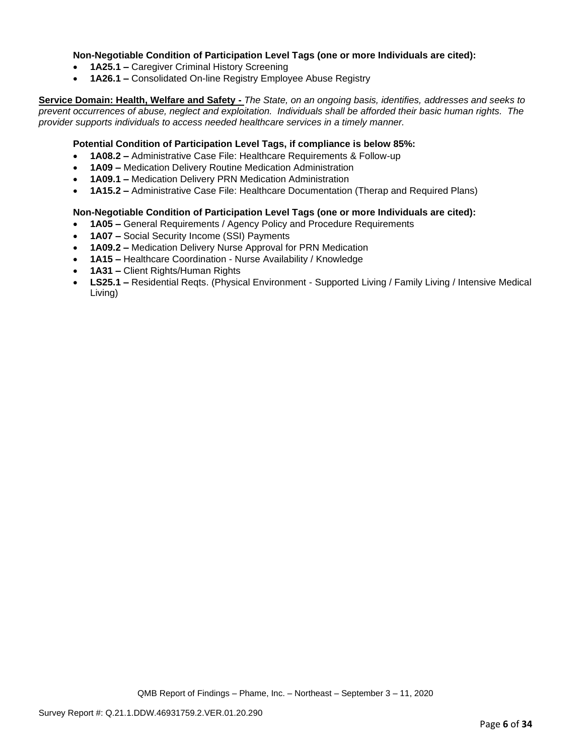## **Non-Negotiable Condition of Participation Level Tags (one or more Individuals are cited):**

- **1A25.1 –** Caregiver Criminal History Screening
- **1A26.1 –** Consolidated On-line Registry Employee Abuse Registry

**Service Domain: Health, Welfare and Safety -** *The State, on an ongoing basis, identifies, addresses and seeks to prevent occurrences of abuse, neglect and exploitation. Individuals shall be afforded their basic human rights. The provider supports individuals to access needed healthcare services in a timely manner.*

## **Potential Condition of Participation Level Tags, if compliance is below 85%:**

- **1A08.2 –** Administrative Case File: Healthcare Requirements & Follow-up
- **1A09 –** Medication Delivery Routine Medication Administration
- **1A09.1 –** Medication Delivery PRN Medication Administration
- **1A15.2 –** Administrative Case File: Healthcare Documentation (Therap and Required Plans)

#### **Non-Negotiable Condition of Participation Level Tags (one or more Individuals are cited):**

- **1A05 –** General Requirements / Agency Policy and Procedure Requirements
- **1A07 –** Social Security Income (SSI) Payments
- **1A09.2 –** Medication Delivery Nurse Approval for PRN Medication
- **1A15 –** Healthcare Coordination Nurse Availability / Knowledge
- **1A31 –** Client Rights/Human Rights
- **LS25.1 –** Residential Reqts. (Physical Environment Supported Living / Family Living / Intensive Medical Living)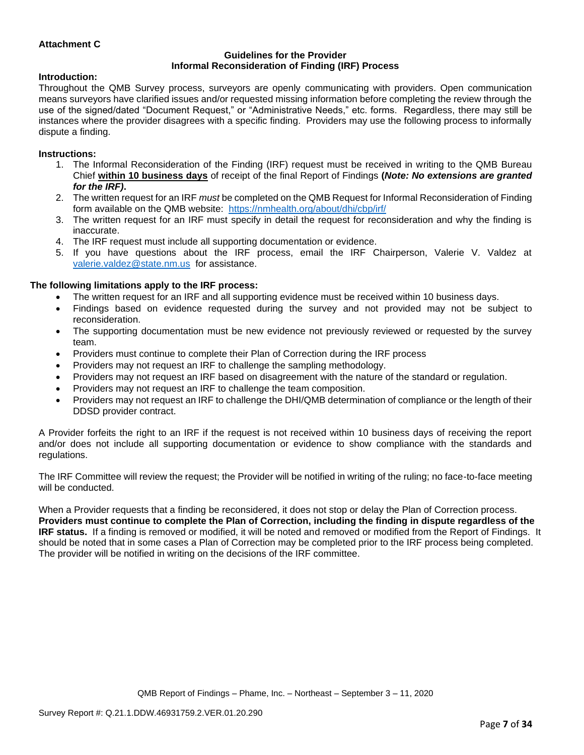## **Attachment C**

#### **Guidelines for the Provider Informal Reconsideration of Finding (IRF) Process**

#### **Introduction:**

Throughout the QMB Survey process, surveyors are openly communicating with providers. Open communication means surveyors have clarified issues and/or requested missing information before completing the review through the use of the signed/dated "Document Request," or "Administrative Needs," etc. forms. Regardless, there may still be instances where the provider disagrees with a specific finding. Providers may use the following process to informally dispute a finding.

#### **Instructions:**

- 1. The Informal Reconsideration of the Finding (IRF) request must be received in writing to the QMB Bureau Chief **within 10 business days** of receipt of the final Report of Findings **(***Note: No extensions are granted for the IRF)***.**
- 2. The written request for an IRF *must* be completed on the QMB Request for Informal Reconsideration of Finding form available on the QMB website: <https://nmhealth.org/about/dhi/cbp/irf/>
- 3. The written request for an IRF must specify in detail the request for reconsideration and why the finding is inaccurate.
- 4. The IRF request must include all supporting documentation or evidence.
- 5. If you have questions about the IRF process, email the IRF Chairperson, Valerie V. Valdez at [valerie.valdez@state.nm.us](mailto:valerie.valdez@state.nm.us) for assistance.

#### **The following limitations apply to the IRF process:**

- The written request for an IRF and all supporting evidence must be received within 10 business days.
- Findings based on evidence requested during the survey and not provided may not be subject to reconsideration.
- The supporting documentation must be new evidence not previously reviewed or requested by the survey team.
- Providers must continue to complete their Plan of Correction during the IRF process
- Providers may not request an IRF to challenge the sampling methodology.
- Providers may not request an IRF based on disagreement with the nature of the standard or regulation.
- Providers may not request an IRF to challenge the team composition.
- Providers may not request an IRF to challenge the DHI/QMB determination of compliance or the length of their DDSD provider contract.

A Provider forfeits the right to an IRF if the request is not received within 10 business days of receiving the report and/or does not include all supporting documentation or evidence to show compliance with the standards and regulations.

The IRF Committee will review the request; the Provider will be notified in writing of the ruling; no face-to-face meeting will be conducted.

When a Provider requests that a finding be reconsidered, it does not stop or delay the Plan of Correction process. **Providers must continue to complete the Plan of Correction, including the finding in dispute regardless of the IRF status.** If a finding is removed or modified, it will be noted and removed or modified from the Report of Findings. It should be noted that in some cases a Plan of Correction may be completed prior to the IRF process being completed. The provider will be notified in writing on the decisions of the IRF committee.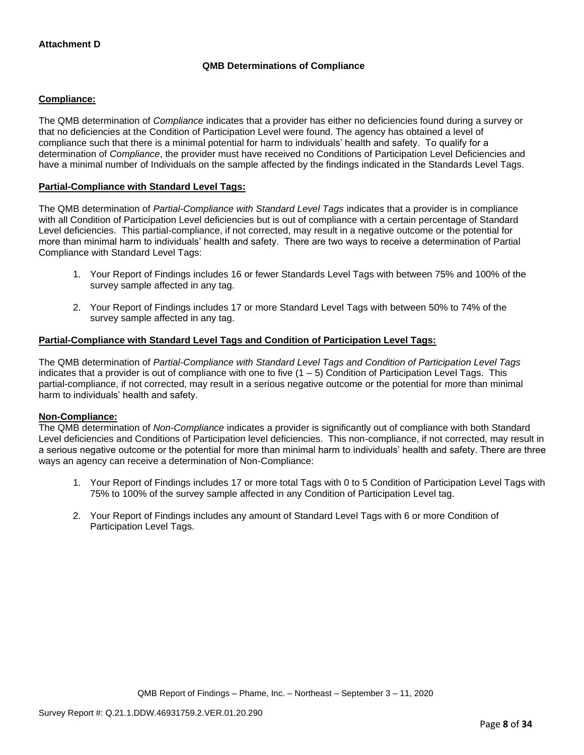# **QMB Determinations of Compliance**

## **Compliance:**

The QMB determination of *Compliance* indicates that a provider has either no deficiencies found during a survey or that no deficiencies at the Condition of Participation Level were found. The agency has obtained a level of compliance such that there is a minimal potential for harm to individuals' health and safety. To qualify for a determination of *Compliance*, the provider must have received no Conditions of Participation Level Deficiencies and have a minimal number of Individuals on the sample affected by the findings indicated in the Standards Level Tags.

## **Partial-Compliance with Standard Level Tags:**

The QMB determination of *Partial-Compliance with Standard Level Tags* indicates that a provider is in compliance with all Condition of Participation Level deficiencies but is out of compliance with a certain percentage of Standard Level deficiencies. This partial-compliance, if not corrected, may result in a negative outcome or the potential for more than minimal harm to individuals' health and safety. There are two ways to receive a determination of Partial Compliance with Standard Level Tags:

- 1. Your Report of Findings includes 16 or fewer Standards Level Tags with between 75% and 100% of the survey sample affected in any tag.
- 2. Your Report of Findings includes 17 or more Standard Level Tags with between 50% to 74% of the survey sample affected in any tag.

## **Partial-Compliance with Standard Level Tags and Condition of Participation Level Tags:**

The QMB determination of *Partial-Compliance with Standard Level Tags and Condition of Participation Level Tags*  indicates that a provider is out of compliance with one to five  $(1 - 5)$  Condition of Participation Level Tags. This partial-compliance, if not corrected, may result in a serious negative outcome or the potential for more than minimal harm to individuals' health and safety.

#### **Non-Compliance:**

The QMB determination of *Non-Compliance* indicates a provider is significantly out of compliance with both Standard Level deficiencies and Conditions of Participation level deficiencies. This non-compliance, if not corrected, may result in a serious negative outcome or the potential for more than minimal harm to individuals' health and safety. There are three ways an agency can receive a determination of Non-Compliance:

- 1. Your Report of Findings includes 17 or more total Tags with 0 to 5 Condition of Participation Level Tags with 75% to 100% of the survey sample affected in any Condition of Participation Level tag.
- 2. Your Report of Findings includes any amount of Standard Level Tags with 6 or more Condition of Participation Level Tags.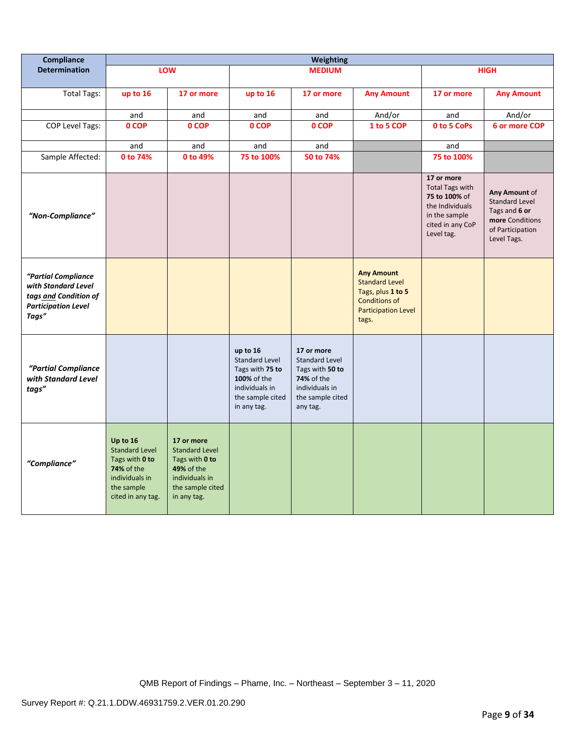| Compliance                                                                                                 | <b>Weighting</b>                                                                                                       |                                                                                                                          |                                                                                                                          |                                                                                                                        |                                                                                                                                |                                                                                                                             |                                                                                                               |
|------------------------------------------------------------------------------------------------------------|------------------------------------------------------------------------------------------------------------------------|--------------------------------------------------------------------------------------------------------------------------|--------------------------------------------------------------------------------------------------------------------------|------------------------------------------------------------------------------------------------------------------------|--------------------------------------------------------------------------------------------------------------------------------|-----------------------------------------------------------------------------------------------------------------------------|---------------------------------------------------------------------------------------------------------------|
| <b>Determination</b>                                                                                       |                                                                                                                        | LOW                                                                                                                      |                                                                                                                          | <b>MEDIUM</b>                                                                                                          |                                                                                                                                |                                                                                                                             | <b>HIGH</b>                                                                                                   |
| <b>Total Tags:</b>                                                                                         | up to 16                                                                                                               | 17 or more                                                                                                               | up to 16                                                                                                                 | 17 or more                                                                                                             | <b>Any Amount</b>                                                                                                              | 17 or more                                                                                                                  | <b>Any Amount</b>                                                                                             |
|                                                                                                            | and                                                                                                                    | and                                                                                                                      | and                                                                                                                      | and                                                                                                                    | And/or                                                                                                                         | and                                                                                                                         | And/or                                                                                                        |
| <b>COP Level Tags:</b>                                                                                     | 0 COP                                                                                                                  | 0 COP                                                                                                                    | 0 COP                                                                                                                    | 0 COP                                                                                                                  | 1 to 5 COP                                                                                                                     | 0 to 5 CoPs                                                                                                                 | 6 or more COP                                                                                                 |
|                                                                                                            |                                                                                                                        |                                                                                                                          |                                                                                                                          |                                                                                                                        |                                                                                                                                |                                                                                                                             |                                                                                                               |
|                                                                                                            | and<br>0 to 74%                                                                                                        | and<br>0 to 49%                                                                                                          | and<br>75 to 100%                                                                                                        | and<br>50 to 74%                                                                                                       |                                                                                                                                | and<br>75 to 100%                                                                                                           |                                                                                                               |
| Sample Affected:                                                                                           |                                                                                                                        |                                                                                                                          |                                                                                                                          |                                                                                                                        |                                                                                                                                |                                                                                                                             |                                                                                                               |
| "Non-Compliance"                                                                                           |                                                                                                                        |                                                                                                                          |                                                                                                                          |                                                                                                                        |                                                                                                                                | 17 or more<br><b>Total Tags with</b><br>75 to 100% of<br>the Individuals<br>in the sample<br>cited in any CoP<br>Level tag. | Any Amount of<br><b>Standard Level</b><br>Tags and 6 or<br>more Conditions<br>of Participation<br>Level Tags. |
| "Partial Compliance<br>with Standard Level<br>tags and Condition of<br><b>Participation Level</b><br>Tags" |                                                                                                                        |                                                                                                                          |                                                                                                                          |                                                                                                                        | <b>Any Amount</b><br><b>Standard Level</b><br>Tags, plus 1 to 5<br><b>Conditions of</b><br><b>Participation Level</b><br>tags. |                                                                                                                             |                                                                                                               |
| "Partial Compliance<br>with Standard Level<br>tags"                                                        |                                                                                                                        |                                                                                                                          | up to 16<br><b>Standard Level</b><br>Tags with 75 to<br>100% of the<br>individuals in<br>the sample cited<br>in any tag. | 17 or more<br>Standard Level<br>Tags with 50 to<br><b>74%</b> of the<br>individuals in<br>the sample cited<br>any tag. |                                                                                                                                |                                                                                                                             |                                                                                                               |
| "Compliance"                                                                                               | Up to 16<br><b>Standard Level</b><br>Tags with 0 to<br>74% of the<br>individuals in<br>the sample<br>cited in any tag. | 17 or more<br><b>Standard Level</b><br>Tags with 0 to<br>49% of the<br>individuals in<br>the sample cited<br>in any tag. |                                                                                                                          |                                                                                                                        |                                                                                                                                |                                                                                                                             |                                                                                                               |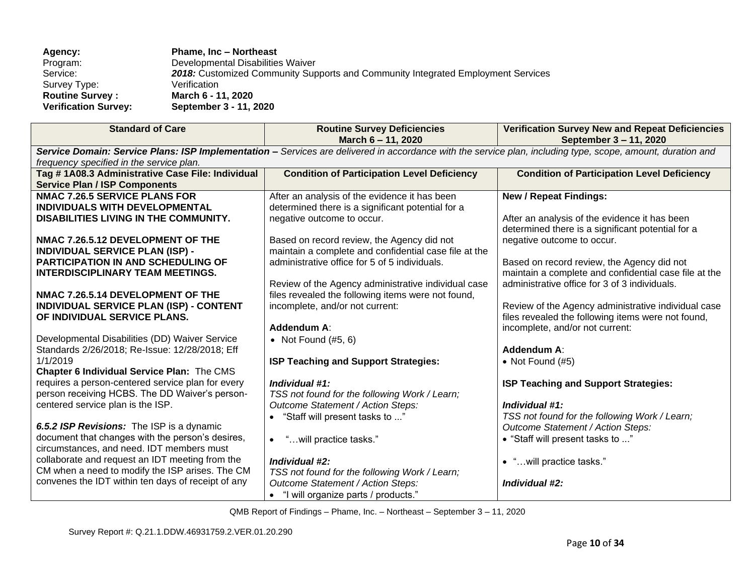| Agency:                     | <b>Phame, Inc - Northeast</b>                                                    |
|-----------------------------|----------------------------------------------------------------------------------|
| Program:                    | Developmental Disabilities Waiver                                                |
| Service:                    | 2018: Customized Community Supports and Community Integrated Employment Services |
| Survey Type:                | Verification                                                                     |
| <b>Routine Survey:</b>      | March 6 - 11, 2020                                                               |
| <b>Verification Survey:</b> | September 3 - 11, 2020                                                           |

| <b>Standard of Care</b>                                                                                                                                     | <b>Routine Survey Deficiencies</b><br>March 6 - 11, 2020 | <b>Verification Survey New and Repeat Deficiencies</b><br>September 3 - 11, 2020 |  |  |  |  |
|-------------------------------------------------------------------------------------------------------------------------------------------------------------|----------------------------------------------------------|----------------------------------------------------------------------------------|--|--|--|--|
| Service Domain: Service Plans: ISP Implementation - Services are delivered in accordance with the service plan, including type, scope, amount, duration and |                                                          |                                                                                  |  |  |  |  |
|                                                                                                                                                             | frequency specified in the service plan.                 |                                                                                  |  |  |  |  |
| Tag #1A08.3 Administrative Case File: Individual                                                                                                            | <b>Condition of Participation Level Deficiency</b>       | <b>Condition of Participation Level Deficiency</b>                               |  |  |  |  |
| <b>Service Plan / ISP Components</b>                                                                                                                        |                                                          |                                                                                  |  |  |  |  |
| <b>NMAC 7.26.5 SERVICE PLANS FOR</b>                                                                                                                        | After an analysis of the evidence it has been            | <b>New / Repeat Findings:</b>                                                    |  |  |  |  |
| INDIVIDUALS WITH DEVELOPMENTAL                                                                                                                              | determined there is a significant potential for a        |                                                                                  |  |  |  |  |
| DISABILITIES LIVING IN THE COMMUNITY.                                                                                                                       | negative outcome to occur.                               | After an analysis of the evidence it has been                                    |  |  |  |  |
|                                                                                                                                                             |                                                          | determined there is a significant potential for a                                |  |  |  |  |
| NMAC 7.26.5.12 DEVELOPMENT OF THE                                                                                                                           | Based on record review, the Agency did not               | negative outcome to occur.                                                       |  |  |  |  |
| <b>INDIVIDUAL SERVICE PLAN (ISP) -</b>                                                                                                                      | maintain a complete and confidential case file at the    |                                                                                  |  |  |  |  |
| <b>PARTICIPATION IN AND SCHEDULING OF</b>                                                                                                                   | administrative office for 5 of 5 individuals.            | Based on record review, the Agency did not                                       |  |  |  |  |
| <b>INTERDISCIPLINARY TEAM MEETINGS.</b>                                                                                                                     |                                                          | maintain a complete and confidential case file at the                            |  |  |  |  |
|                                                                                                                                                             | Review of the Agency administrative individual case      | administrative office for 3 of 3 individuals.                                    |  |  |  |  |
| NMAC 7.26.5.14 DEVELOPMENT OF THE                                                                                                                           | files revealed the following items were not found,       |                                                                                  |  |  |  |  |
| INDIVIDUAL SERVICE PLAN (ISP) - CONTENT                                                                                                                     | incomplete, and/or not current:                          | Review of the Agency administrative individual case                              |  |  |  |  |
| OF INDIVIDUAL SERVICE PLANS.                                                                                                                                |                                                          | files revealed the following items were not found,                               |  |  |  |  |
|                                                                                                                                                             | Addendum A:                                              | incomplete, and/or not current:                                                  |  |  |  |  |
| Developmental Disabilities (DD) Waiver Service                                                                                                              | • Not Found $(\#5, 6)$                                   |                                                                                  |  |  |  |  |
| Standards 2/26/2018; Re-Issue: 12/28/2018; Eff                                                                                                              |                                                          | <b>Addendum A:</b>                                                               |  |  |  |  |
| 1/1/2019                                                                                                                                                    | ISP Teaching and Support Strategies:                     | • Not Found $(H5)$                                                               |  |  |  |  |
| Chapter 6 Individual Service Plan: The CMS                                                                                                                  |                                                          |                                                                                  |  |  |  |  |
| requires a person-centered service plan for every                                                                                                           | Individual #1:                                           | <b>ISP Teaching and Support Strategies:</b>                                      |  |  |  |  |
| person receiving HCBS. The DD Waiver's person-                                                                                                              | TSS not found for the following Work / Learn;            |                                                                                  |  |  |  |  |
| centered service plan is the ISP.                                                                                                                           | Outcome Statement / Action Steps:                        | Individual #1:                                                                   |  |  |  |  |
|                                                                                                                                                             | "Staff will present tasks to "                           | TSS not found for the following Work / Learn;                                    |  |  |  |  |
| 6.5.2 ISP Revisions: The ISP is a dynamic                                                                                                                   |                                                          | Outcome Statement / Action Steps:                                                |  |  |  |  |
| document that changes with the person's desires,                                                                                                            | "will practice tasks."<br>$\bullet$                      | • "Staff will present tasks to "                                                 |  |  |  |  |
| circumstances, and need. IDT members must                                                                                                                   |                                                          |                                                                                  |  |  |  |  |
| collaborate and request an IDT meeting from the                                                                                                             | Individual #2:                                           | • "will practice tasks."                                                         |  |  |  |  |
| CM when a need to modify the ISP arises. The CM                                                                                                             | TSS not found for the following Work / Learn;            |                                                                                  |  |  |  |  |
| convenes the IDT within ten days of receipt of any                                                                                                          | Outcome Statement / Action Steps:                        | Individual #2:                                                                   |  |  |  |  |
|                                                                                                                                                             | • "I will organize parts / products."                    |                                                                                  |  |  |  |  |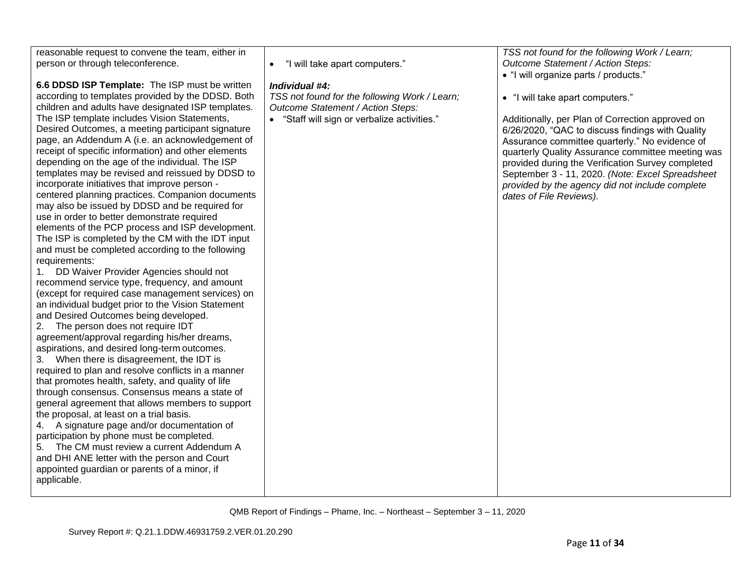reasonable request to convene the team, either in person or through teleconference.

**6.6 DDSD ISP Template:** The ISP must be written according to templates provided by the DDSD. Both children and adults have designated ISP templates. The ISP template includes Vision Statements, Desired Outcomes, a meeting participant signature page, an Addendum A (i.e. an acknowledgement of receipt of specific information) and other elements depending on the age of the individual. The ISP templates may be revised and reissued by DDSD to incorporate initiatives that improve person centered planning practices. Companion documents may also be issued by DDSD and be required for use in order to better demonstrate required elements of the PCP process and ISP development. The ISP is completed by the CM with the IDT input and must be completed according to the following requirements:

1. DD Waiver Provider Agencies should not recommend service type, frequency, and amount (except for required case management services) on an individual budget prior to the Vision Statement and Desired Outcomes being developed.

2. The person does not require IDT agreement/approval regarding his/her dreams, aspirations, and desired long-term outcomes.

3. When there is disagreement, the IDT is required to plan and resolve conflicts in a manner that promotes health, safety, and quality of life through consensus. Consensus means a state of general agreement that allows members to support the proposal, at least on a trial basis.

4. A signature page and/or documentation of participation by phone must be completed. 5. The CM must review a current Addendum A

and DHI ANE letter with the person and Court appointed guardian or parents of a minor, if applicable.

• "I will take apart computers."

## *Individual #4:*

*TSS not found for the following Work / Learn; Outcome Statement / Action Steps:* 

• "Staff will sign or verbalize activities."

*TSS not found for the following Work / Learn; Outcome Statement / Action Steps:* 

• "I will organize parts / products."

• "I will take apart computers."

Additionally, per Plan of Correction approved on 6/26/2020, "QAC to discuss findings with Quality Assurance committee quarterly." No evidence of quarterly Quality Assurance committee meeting was provided during the Verification Survey completed September 3 - 11, 2020. *(Note: Excel Spreadsheet provided by the agency did not include complete dates of File Reviews).*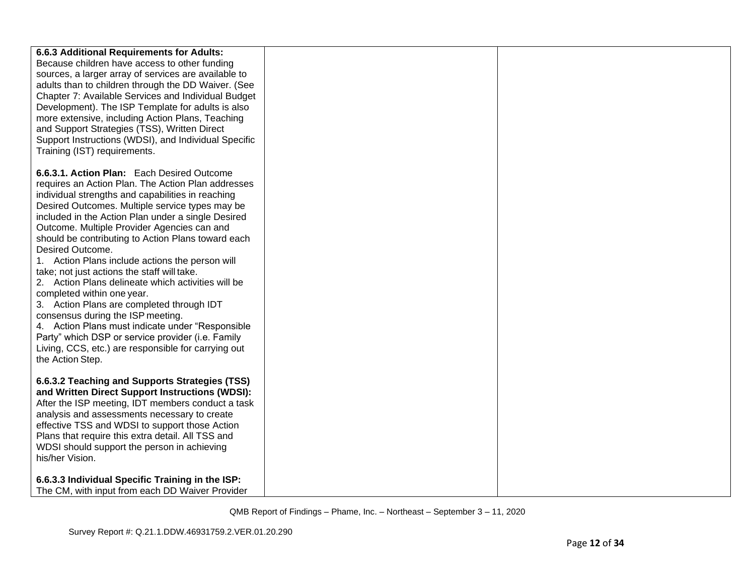| 6.6.3 Additional Requirements for Adults:<br>Because children have access to other funding<br>sources, a larger array of services are available to<br>adults than to children through the DD Waiver. (See<br>Chapter 7: Available Services and Individual Budget<br>Development). The ISP Template for adults is also<br>more extensive, including Action Plans, Teaching<br>and Support Strategies (TSS), Written Direct<br>Support Instructions (WDSI), and Individual Specific<br>Training (IST) requirements.                                                                                                                                                                                                                                                                                                                                   |  |
|-----------------------------------------------------------------------------------------------------------------------------------------------------------------------------------------------------------------------------------------------------------------------------------------------------------------------------------------------------------------------------------------------------------------------------------------------------------------------------------------------------------------------------------------------------------------------------------------------------------------------------------------------------------------------------------------------------------------------------------------------------------------------------------------------------------------------------------------------------|--|
| 6.6.3.1. Action Plan: Each Desired Outcome<br>requires an Action Plan. The Action Plan addresses<br>individual strengths and capabilities in reaching<br>Desired Outcomes. Multiple service types may be<br>included in the Action Plan under a single Desired<br>Outcome. Multiple Provider Agencies can and<br>should be contributing to Action Plans toward each<br>Desired Outcome.<br>1. Action Plans include actions the person will<br>take; not just actions the staff will take.<br>2. Action Plans delineate which activities will be<br>completed within one year.<br>3. Action Plans are completed through IDT<br>consensus during the ISP meeting.<br>4. Action Plans must indicate under "Responsible<br>Party" which DSP or service provider (i.e. Family<br>Living, CCS, etc.) are responsible for carrying out<br>the Action Step. |  |
| 6.6.3.2 Teaching and Supports Strategies (TSS)<br>and Written Direct Support Instructions (WDSI):<br>After the ISP meeting, IDT members conduct a task<br>analysis and assessments necessary to create<br>effective TSS and WDSI to support those Action<br>Plans that require this extra detail. All TSS and<br>WDSI should support the person in achieving<br>his/her Vision.<br>6.6.3.3 Individual Specific Training in the ISP:<br>The CM, with input from each DD Waiver Provider                                                                                                                                                                                                                                                                                                                                                              |  |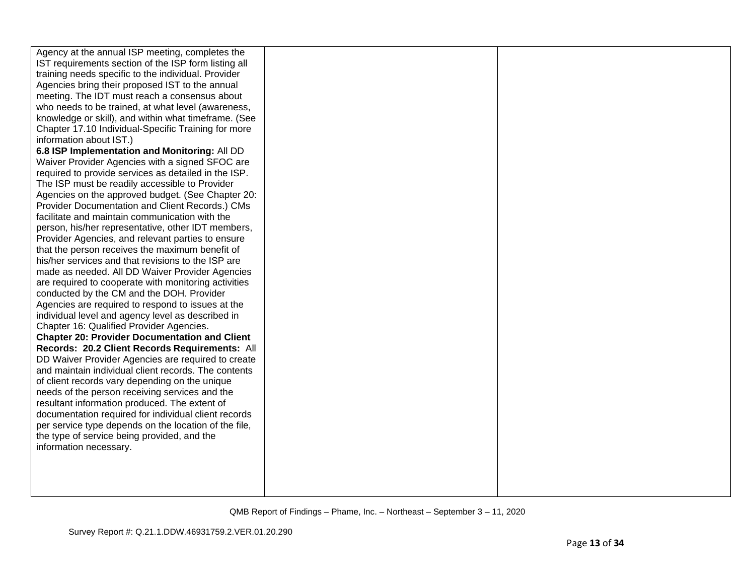| Agency at the annual ISP meeting, completes the       |  |
|-------------------------------------------------------|--|
| IST requirements section of the ISP form listing all  |  |
| training needs specific to the individual. Provider   |  |
| Agencies bring their proposed IST to the annual       |  |
| meeting. The IDT must reach a consensus about         |  |
| who needs to be trained, at what level (awareness,    |  |
| knowledge or skill), and within what timeframe. (See  |  |
| Chapter 17.10 Individual-Specific Training for more   |  |
| information about IST.)                               |  |
| 6.8 ISP Implementation and Monitoring: All DD         |  |
| Waiver Provider Agencies with a signed SFOC are       |  |
| required to provide services as detailed in the ISP.  |  |
| The ISP must be readily accessible to Provider        |  |
| Agencies on the approved budget. (See Chapter 20:     |  |
| Provider Documentation and Client Records.) CMs       |  |
| facilitate and maintain communication with the        |  |
| person, his/her representative, other IDT members,    |  |
| Provider Agencies, and relevant parties to ensure     |  |
| that the person receives the maximum benefit of       |  |
| his/her services and that revisions to the ISP are    |  |
| made as needed. All DD Waiver Provider Agencies       |  |
| are required to cooperate with monitoring activities  |  |
| conducted by the CM and the DOH. Provider             |  |
| Agencies are required to respond to issues at the     |  |
| individual level and agency level as described in     |  |
| Chapter 16: Qualified Provider Agencies.              |  |
| <b>Chapter 20: Provider Documentation and Client</b>  |  |
| Records: 20.2 Client Records Requirements: All        |  |
| DD Waiver Provider Agencies are required to create    |  |
| and maintain individual client records. The contents  |  |
| of client records vary depending on the unique        |  |
| needs of the person receiving services and the        |  |
| resultant information produced. The extent of         |  |
| documentation required for individual client records  |  |
| per service type depends on the location of the file, |  |
| the type of service being provided, and the           |  |
| information necessary.                                |  |
|                                                       |  |
|                                                       |  |
|                                                       |  |
|                                                       |  |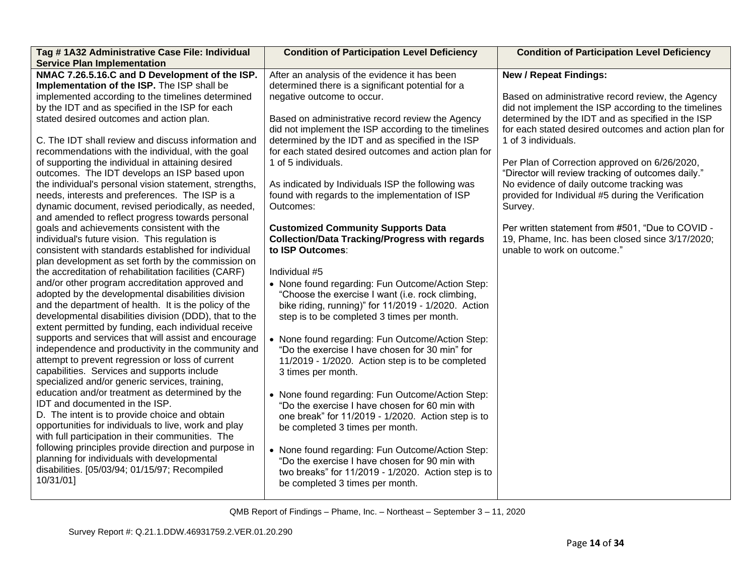| Tag # 1A32 Administrative Case File: Individual<br><b>Service Plan Implementation</b>                                                                                                                                                                                                                                                                                                                                                                                                                                                                                                                                                                                                                                                                                                                                                                                                                                                                                                                                                                                                                                                                                                                                                                                                                                                                                                                                                                                                                                                                                                                                                                                                                                                                                                                                                                                                                                                            | <b>Condition of Participation Level Deficiency</b>                                                                                                                                                                                                                                                                                                                                                                                                                                                                                                                                                                                                                                                                                                                                                                                                                                                                                                                                                                                                                                                                                                                                                                                                                                                                                                                                                                                           | <b>Condition of Participation Level Deficiency</b>                                                                                                                                                                                                                                                                                                                                                                                                                                                                                                                                                                                         |
|--------------------------------------------------------------------------------------------------------------------------------------------------------------------------------------------------------------------------------------------------------------------------------------------------------------------------------------------------------------------------------------------------------------------------------------------------------------------------------------------------------------------------------------------------------------------------------------------------------------------------------------------------------------------------------------------------------------------------------------------------------------------------------------------------------------------------------------------------------------------------------------------------------------------------------------------------------------------------------------------------------------------------------------------------------------------------------------------------------------------------------------------------------------------------------------------------------------------------------------------------------------------------------------------------------------------------------------------------------------------------------------------------------------------------------------------------------------------------------------------------------------------------------------------------------------------------------------------------------------------------------------------------------------------------------------------------------------------------------------------------------------------------------------------------------------------------------------------------------------------------------------------------------------------------------------------------|----------------------------------------------------------------------------------------------------------------------------------------------------------------------------------------------------------------------------------------------------------------------------------------------------------------------------------------------------------------------------------------------------------------------------------------------------------------------------------------------------------------------------------------------------------------------------------------------------------------------------------------------------------------------------------------------------------------------------------------------------------------------------------------------------------------------------------------------------------------------------------------------------------------------------------------------------------------------------------------------------------------------------------------------------------------------------------------------------------------------------------------------------------------------------------------------------------------------------------------------------------------------------------------------------------------------------------------------------------------------------------------------------------------------------------------------|--------------------------------------------------------------------------------------------------------------------------------------------------------------------------------------------------------------------------------------------------------------------------------------------------------------------------------------------------------------------------------------------------------------------------------------------------------------------------------------------------------------------------------------------------------------------------------------------------------------------------------------------|
| NMAC 7.26.5.16.C and D Development of the ISP.<br>Implementation of the ISP. The ISP shall be<br>implemented according to the timelines determined<br>by the IDT and as specified in the ISP for each<br>stated desired outcomes and action plan.<br>C. The IDT shall review and discuss information and<br>recommendations with the individual, with the goal<br>of supporting the individual in attaining desired<br>outcomes. The IDT develops an ISP based upon<br>the individual's personal vision statement, strengths,<br>needs, interests and preferences. The ISP is a<br>dynamic document, revised periodically, as needed,<br>and amended to reflect progress towards personal<br>goals and achievements consistent with the<br>individual's future vision. This regulation is<br>consistent with standards established for individual<br>plan development as set forth by the commission on<br>the accreditation of rehabilitation facilities (CARF)<br>and/or other program accreditation approved and<br>adopted by the developmental disabilities division<br>and the department of health. It is the policy of the<br>developmental disabilities division (DDD), that to the<br>extent permitted by funding, each individual receive<br>supports and services that will assist and encourage<br>independence and productivity in the community and<br>attempt to prevent regression or loss of current<br>capabilities. Services and supports include<br>specialized and/or generic services, training,<br>education and/or treatment as determined by the<br>IDT and documented in the ISP.<br>D. The intent is to provide choice and obtain<br>opportunities for individuals to live, work and play<br>with full participation in their communities. The<br>following principles provide direction and purpose in<br>planning for individuals with developmental<br>disabilities. [05/03/94; 01/15/97; Recompiled<br>10/31/01] | After an analysis of the evidence it has been<br>determined there is a significant potential for a<br>negative outcome to occur.<br>Based on administrative record review the Agency<br>did not implement the ISP according to the timelines<br>determined by the IDT and as specified in the ISP<br>for each stated desired outcomes and action plan for<br>1 of 5 individuals.<br>As indicated by Individuals ISP the following was<br>found with regards to the implementation of ISP<br>Outcomes:<br><b>Customized Community Supports Data</b><br><b>Collection/Data Tracking/Progress with regards</b><br>to ISP Outcomes:<br>Individual #5<br>• None found regarding: Fun Outcome/Action Step:<br>"Choose the exercise I want (i.e. rock climbing,<br>bike riding, running)" for 11/2019 - 1/2020. Action<br>step is to be completed 3 times per month.<br>• None found regarding: Fun Outcome/Action Step:<br>"Do the exercise I have chosen for 30 min" for<br>11/2019 - 1/2020. Action step is to be completed<br>3 times per month.<br>• None found regarding: Fun Outcome/Action Step:<br>"Do the exercise I have chosen for 60 min with<br>one break" for 11/2019 - 1/2020. Action step is to<br>be completed 3 times per month.<br>• None found regarding: Fun Outcome/Action Step:<br>"Do the exercise I have chosen for 90 min with<br>two breaks" for 11/2019 - 1/2020. Action step is to<br>be completed 3 times per month. | <b>New / Repeat Findings:</b><br>Based on administrative record review, the Agency<br>did not implement the ISP according to the timelines<br>determined by the IDT and as specified in the ISP<br>for each stated desired outcomes and action plan for<br>1 of 3 individuals.<br>Per Plan of Correction approved on 6/26/2020,<br>"Director will review tracking of outcomes daily."<br>No evidence of daily outcome tracking was<br>provided for Individual #5 during the Verification<br>Survey.<br>Per written statement from #501, "Due to COVID -<br>19, Phame, Inc. has been closed since 3/17/2020;<br>unable to work on outcome." |
|                                                                                                                                                                                                                                                                                                                                                                                                                                                                                                                                                                                                                                                                                                                                                                                                                                                                                                                                                                                                                                                                                                                                                                                                                                                                                                                                                                                                                                                                                                                                                                                                                                                                                                                                                                                                                                                                                                                                                  |                                                                                                                                                                                                                                                                                                                                                                                                                                                                                                                                                                                                                                                                                                                                                                                                                                                                                                                                                                                                                                                                                                                                                                                                                                                                                                                                                                                                                                              |                                                                                                                                                                                                                                                                                                                                                                                                                                                                                                                                                                                                                                            |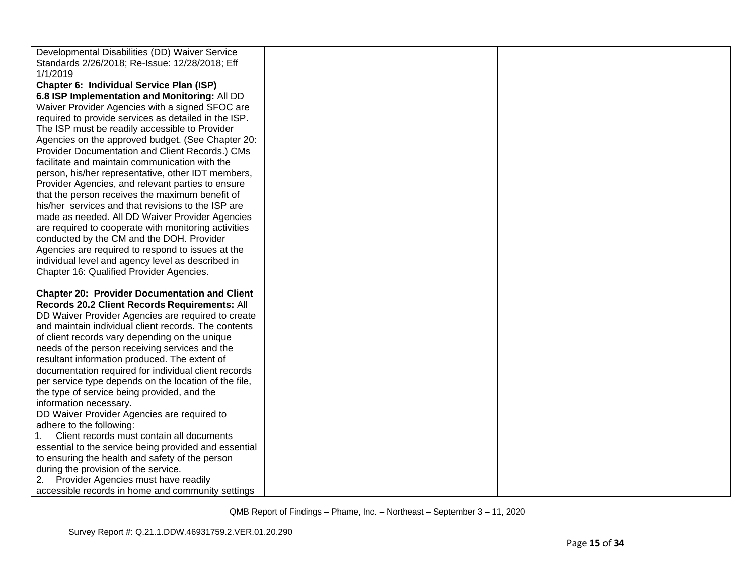| Developmental Disabilities (DD) Waiver Service        |  |
|-------------------------------------------------------|--|
| Standards 2/26/2018; Re-Issue: 12/28/2018; Eff        |  |
| 1/1/2019                                              |  |
| Chapter 6: Individual Service Plan (ISP)              |  |
| 6.8 ISP Implementation and Monitoring: All DD         |  |
| Waiver Provider Agencies with a signed SFOC are       |  |
| required to provide services as detailed in the ISP.  |  |
| The ISP must be readily accessible to Provider        |  |
| Agencies on the approved budget. (See Chapter 20:     |  |
| Provider Documentation and Client Records.) CMs       |  |
| facilitate and maintain communication with the        |  |
| person, his/her representative, other IDT members,    |  |
| Provider Agencies, and relevant parties to ensure     |  |
| that the person receives the maximum benefit of       |  |
| his/her services and that revisions to the ISP are    |  |
| made as needed. All DD Waiver Provider Agencies       |  |
| are required to cooperate with monitoring activities  |  |
| conducted by the CM and the DOH. Provider             |  |
| Agencies are required to respond to issues at the     |  |
| individual level and agency level as described in     |  |
| Chapter 16: Qualified Provider Agencies.              |  |
|                                                       |  |
| <b>Chapter 20: Provider Documentation and Client</b>  |  |
| Records 20.2 Client Records Requirements: All         |  |
| DD Waiver Provider Agencies are required to create    |  |
| and maintain individual client records. The contents  |  |
| of client records vary depending on the unique        |  |
| needs of the person receiving services and the        |  |
| resultant information produced. The extent of         |  |
| documentation required for individual client records  |  |
| per service type depends on the location of the file, |  |
| the type of service being provided, and the           |  |
| information necessary.                                |  |
| DD Waiver Provider Agencies are required to           |  |
| adhere to the following:                              |  |
| 1.<br>Client records must contain all documents       |  |
| essential to the service being provided and essential |  |
| to ensuring the health and safety of the person       |  |
| during the provision of the service.                  |  |
| Provider Agencies must have readily                   |  |
| accessible records in home and community settings     |  |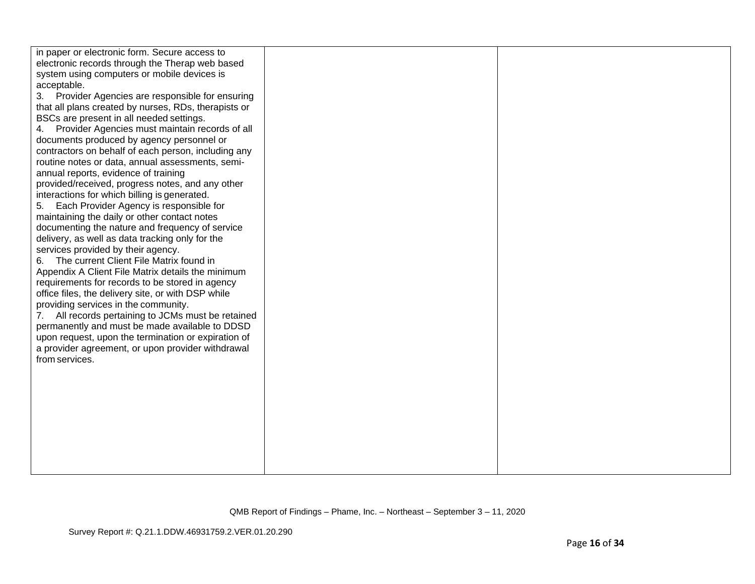| system using computers or mobile devices is<br>acceptable.<br>3. Provider Agencies are responsible for ensuring<br>that all plans created by nurses, RDs, therapists or<br>BSCs are present in all needed settings.<br>Provider Agencies must maintain records of all<br>4.<br>documents produced by agency personnel or<br>contractors on behalf of each person, including any<br>routine notes or data, annual assessments, semi-<br>annual reports, evidence of training<br>provided/received, progress notes, and any other<br>interactions for which billing is generated.<br>5.<br>Each Provider Agency is responsible for<br>maintaining the daily or other contact notes<br>documenting the nature and frequency of service<br>delivery, as well as data tracking only for the<br>services provided by their agency.<br>6. The current Client File Matrix found in<br>Appendix A Client File Matrix details the minimum<br>requirements for records to be stored in agency<br>office files, the delivery site, or with DSP while<br>providing services in the community.<br>All records pertaining to JCMs must be retained<br>7.<br>permanently and must be made available to DDSD<br>upon request, upon the termination or expiration of<br>a provider agreement, or upon provider withdrawal<br>from services. |  |  |
|---------------------------------------------------------------------------------------------------------------------------------------------------------------------------------------------------------------------------------------------------------------------------------------------------------------------------------------------------------------------------------------------------------------------------------------------------------------------------------------------------------------------------------------------------------------------------------------------------------------------------------------------------------------------------------------------------------------------------------------------------------------------------------------------------------------------------------------------------------------------------------------------------------------------------------------------------------------------------------------------------------------------------------------------------------------------------------------------------------------------------------------------------------------------------------------------------------------------------------------------------------------------------------------------------------------------------|--|--|
|---------------------------------------------------------------------------------------------------------------------------------------------------------------------------------------------------------------------------------------------------------------------------------------------------------------------------------------------------------------------------------------------------------------------------------------------------------------------------------------------------------------------------------------------------------------------------------------------------------------------------------------------------------------------------------------------------------------------------------------------------------------------------------------------------------------------------------------------------------------------------------------------------------------------------------------------------------------------------------------------------------------------------------------------------------------------------------------------------------------------------------------------------------------------------------------------------------------------------------------------------------------------------------------------------------------------------|--|--|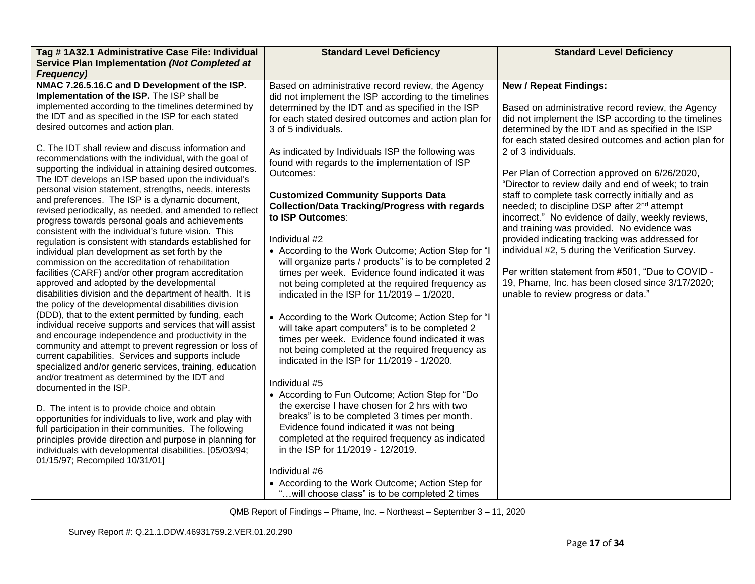| Tag # 1A32.1 Administrative Case File: Individual                                                                                                                                                                                                                                                                                                                                                                                                                                                                                                                                                                                                                                                                                                                                                                                                                                                                                                                                                                                                                                                                                                                                                                                                                                                                                                                                        | <b>Standard Level Deficiency</b>                                                                                                                                                                                                                                                                                                                                                                                                                                                                                                                                                                                                                                                                                                                                                                                                                                                                                                                                                                           | <b>Standard Level Deficiency</b>                                                                                                                                                                                                                                                                                                                                                                                                                                     |
|------------------------------------------------------------------------------------------------------------------------------------------------------------------------------------------------------------------------------------------------------------------------------------------------------------------------------------------------------------------------------------------------------------------------------------------------------------------------------------------------------------------------------------------------------------------------------------------------------------------------------------------------------------------------------------------------------------------------------------------------------------------------------------------------------------------------------------------------------------------------------------------------------------------------------------------------------------------------------------------------------------------------------------------------------------------------------------------------------------------------------------------------------------------------------------------------------------------------------------------------------------------------------------------------------------------------------------------------------------------------------------------|------------------------------------------------------------------------------------------------------------------------------------------------------------------------------------------------------------------------------------------------------------------------------------------------------------------------------------------------------------------------------------------------------------------------------------------------------------------------------------------------------------------------------------------------------------------------------------------------------------------------------------------------------------------------------------------------------------------------------------------------------------------------------------------------------------------------------------------------------------------------------------------------------------------------------------------------------------------------------------------------------------|----------------------------------------------------------------------------------------------------------------------------------------------------------------------------------------------------------------------------------------------------------------------------------------------------------------------------------------------------------------------------------------------------------------------------------------------------------------------|
|                                                                                                                                                                                                                                                                                                                                                                                                                                                                                                                                                                                                                                                                                                                                                                                                                                                                                                                                                                                                                                                                                                                                                                                                                                                                                                                                                                                          |                                                                                                                                                                                                                                                                                                                                                                                                                                                                                                                                                                                                                                                                                                                                                                                                                                                                                                                                                                                                            |                                                                                                                                                                                                                                                                                                                                                                                                                                                                      |
| Service Plan Implementation (Not Completed at<br><b>Frequency)</b><br>NMAC 7.26.5.16.C and D Development of the ISP.<br>Implementation of the ISP. The ISP shall be<br>implemented according to the timelines determined by<br>the IDT and as specified in the ISP for each stated<br>desired outcomes and action plan.<br>C. The IDT shall review and discuss information and<br>recommendations with the individual, with the goal of<br>supporting the individual in attaining desired outcomes.<br>The IDT develops an ISP based upon the individual's<br>personal vision statement, strengths, needs, interests                                                                                                                                                                                                                                                                                                                                                                                                                                                                                                                                                                                                                                                                                                                                                                     | Based on administrative record review, the Agency<br>did not implement the ISP according to the timelines<br>determined by the IDT and as specified in the ISP<br>for each stated desired outcomes and action plan for<br>3 of 5 individuals.<br>As indicated by Individuals ISP the following was<br>found with regards to the implementation of ISP<br>Outcomes:                                                                                                                                                                                                                                                                                                                                                                                                                                                                                                                                                                                                                                         | <b>New / Repeat Findings:</b><br>Based on administrative record review, the Agency<br>did not implement the ISP according to the timelines<br>determined by the IDT and as specified in the ISP<br>for each stated desired outcomes and action plan for<br>2 of 3 individuals.<br>Per Plan of Correction approved on 6/26/2020,<br>"Director to review daily and end of week; to train                                                                               |
| and preferences. The ISP is a dynamic document,<br>revised periodically, as needed, and amended to reflect<br>progress towards personal goals and achievements<br>consistent with the individual's future vision. This<br>regulation is consistent with standards established for<br>individual plan development as set forth by the<br>commission on the accreditation of rehabilitation<br>facilities (CARF) and/or other program accreditation<br>approved and adopted by the developmental<br>disabilities division and the department of health. It is<br>the policy of the developmental disabilities division<br>(DDD), that to the extent permitted by funding, each<br>individual receive supports and services that will assist<br>and encourage independence and productivity in the<br>community and attempt to prevent regression or loss of<br>current capabilities. Services and supports include<br>specialized and/or generic services, training, education<br>and/or treatment as determined by the IDT and<br>documented in the ISP.<br>D. The intent is to provide choice and obtain<br>opportunities for individuals to live, work and play with<br>full participation in their communities. The following<br>principles provide direction and purpose in planning for<br>individuals with developmental disabilities. [05/03/94;<br>01/15/97; Recompiled 10/31/01] | <b>Customized Community Supports Data</b><br><b>Collection/Data Tracking/Progress with regards</b><br>to ISP Outcomes:<br>Individual #2<br>• According to the Work Outcome; Action Step for "I<br>will organize parts / products" is to be completed 2<br>times per week. Evidence found indicated it was<br>not being completed at the required frequency as<br>indicated in the ISP for $11/2019 - 1/2020$ .<br>• According to the Work Outcome; Action Step for "I<br>will take apart computers" is to be completed 2<br>times per week. Evidence found indicated it was<br>not being completed at the required frequency as<br>indicated in the ISP for 11/2019 - 1/2020.<br>Individual #5<br>• According to Fun Outcome; Action Step for "Do<br>the exercise I have chosen for 2 hrs with two<br>breaks" is to be completed 3 times per month.<br>Evidence found indicated it was not being<br>completed at the required frequency as indicated<br>in the ISP for 11/2019 - 12/2019.<br>Individual #6 | staff to complete task correctly initially and as<br>needed; to discipline DSP after 2 <sup>nd</sup> attempt<br>incorrect." No evidence of daily, weekly reviews,<br>and training was provided. No evidence was<br>provided indicating tracking was addressed for<br>individual #2, 5 during the Verification Survey.<br>Per written statement from #501, "Due to COVID -<br>19, Phame, Inc. has been closed since 3/17/2020;<br>unable to review progress or data." |
|                                                                                                                                                                                                                                                                                                                                                                                                                                                                                                                                                                                                                                                                                                                                                                                                                                                                                                                                                                                                                                                                                                                                                                                                                                                                                                                                                                                          | • According to the Work Outcome; Action Step for<br>will choose class" is to be completed 2 times                                                                                                                                                                                                                                                                                                                                                                                                                                                                                                                                                                                                                                                                                                                                                                                                                                                                                                          |                                                                                                                                                                                                                                                                                                                                                                                                                                                                      |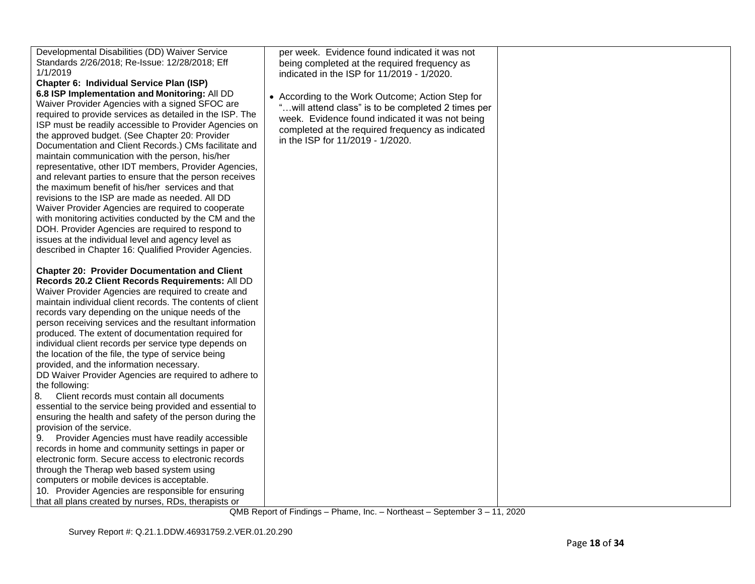| Developmental Disabilities (DD) Waiver Service<br>Standards 2/26/2018; Re-Issue: 12/28/2018; Eff<br>1/1/2019<br>Chapter 6: Individual Service Plan (ISP)<br>6.8 ISP Implementation and Monitoring: All DD<br>Waiver Provider Agencies with a signed SFOC are<br>required to provide services as detailed in the ISP. The<br>ISP must be readily accessible to Provider Agencies on<br>the approved budget. (See Chapter 20: Provider<br>Documentation and Client Records.) CMs facilitate and<br>maintain communication with the person, his/her<br>representative, other IDT members, Provider Agencies,<br>and relevant parties to ensure that the person receives<br>the maximum benefit of his/her services and that<br>revisions to the ISP are made as needed. All DD<br>Waiver Provider Agencies are required to cooperate<br>with monitoring activities conducted by the CM and the<br>DOH. Provider Agencies are required to respond to<br>issues at the individual level and agency level as<br>described in Chapter 16: Qualified Provider Agencies.                                                                                                                                                                  | per week. Evidence found indicated it was not<br>being completed at the required frequency as<br>indicated in the ISP for 11/2019 - 1/2020.<br>• According to the Work Outcome; Action Step for<br>" will attend class" is to be completed 2 times per<br>week. Evidence found indicated it was not being<br>completed at the required frequency as indicated<br>in the ISP for 11/2019 - 1/2020. |  |
|----------------------------------------------------------------------------------------------------------------------------------------------------------------------------------------------------------------------------------------------------------------------------------------------------------------------------------------------------------------------------------------------------------------------------------------------------------------------------------------------------------------------------------------------------------------------------------------------------------------------------------------------------------------------------------------------------------------------------------------------------------------------------------------------------------------------------------------------------------------------------------------------------------------------------------------------------------------------------------------------------------------------------------------------------------------------------------------------------------------------------------------------------------------------------------------------------------------------------------|---------------------------------------------------------------------------------------------------------------------------------------------------------------------------------------------------------------------------------------------------------------------------------------------------------------------------------------------------------------------------------------------------|--|
|                                                                                                                                                                                                                                                                                                                                                                                                                                                                                                                                                                                                                                                                                                                                                                                                                                                                                                                                                                                                                                                                                                                                                                                                                                  |                                                                                                                                                                                                                                                                                                                                                                                                   |  |
| <b>Chapter 20: Provider Documentation and Client</b><br>Records 20.2 Client Records Requirements: All DD<br>Waiver Provider Agencies are required to create and<br>maintain individual client records. The contents of client<br>records vary depending on the unique needs of the<br>person receiving services and the resultant information<br>produced. The extent of documentation required for<br>individual client records per service type depends on<br>the location of the file, the type of service being<br>provided, and the information necessary.<br>DD Waiver Provider Agencies are required to adhere to<br>the following:<br>8.<br>Client records must contain all documents<br>essential to the service being provided and essential to<br>ensuring the health and safety of the person during the<br>provision of the service.<br>Provider Agencies must have readily accessible<br>9.<br>records in home and community settings in paper or<br>electronic form. Secure access to electronic records<br>through the Therap web based system using<br>computers or mobile devices is acceptable.<br>10. Provider Agencies are responsible for ensuring<br>that all plans created by nurses, RDs, therapists or |                                                                                                                                                                                                                                                                                                                                                                                                   |  |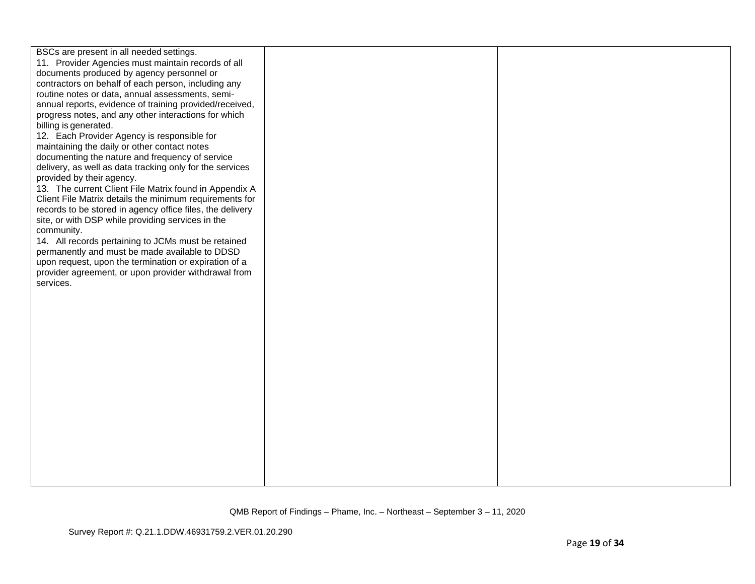| BSCs are present in all needed settings.<br>11. Provider Agencies must maintain records of all<br>documents produced by agency personnel or<br>contractors on behalf of each person, including any<br>routine notes or data, annual assessments, semi- |
|--------------------------------------------------------------------------------------------------------------------------------------------------------------------------------------------------------------------------------------------------------|
|                                                                                                                                                                                                                                                        |
|                                                                                                                                                                                                                                                        |
|                                                                                                                                                                                                                                                        |
|                                                                                                                                                                                                                                                        |
| annual reports, evidence of training provided/received,                                                                                                                                                                                                |
| progress notes, and any other interactions for which                                                                                                                                                                                                   |
| billing is generated.                                                                                                                                                                                                                                  |
| 12. Each Provider Agency is responsible for                                                                                                                                                                                                            |
| maintaining the daily or other contact notes                                                                                                                                                                                                           |
| documenting the nature and frequency of service                                                                                                                                                                                                        |
| delivery, as well as data tracking only for the services                                                                                                                                                                                               |
| provided by their agency.                                                                                                                                                                                                                              |
| 13. The current Client File Matrix found in Appendix A                                                                                                                                                                                                 |
| Client File Matrix details the minimum requirements for                                                                                                                                                                                                |
| records to be stored in agency office files, the delivery                                                                                                                                                                                              |
| site, or with DSP while providing services in the                                                                                                                                                                                                      |
| community.                                                                                                                                                                                                                                             |
| 14. All records pertaining to JCMs must be retained                                                                                                                                                                                                    |
| permanently and must be made available to DDSD                                                                                                                                                                                                         |
| upon request, upon the termination or expiration of a                                                                                                                                                                                                  |
| provider agreement, or upon provider withdrawal from                                                                                                                                                                                                   |
| services.                                                                                                                                                                                                                                              |
|                                                                                                                                                                                                                                                        |
|                                                                                                                                                                                                                                                        |
|                                                                                                                                                                                                                                                        |
|                                                                                                                                                                                                                                                        |
|                                                                                                                                                                                                                                                        |
|                                                                                                                                                                                                                                                        |
|                                                                                                                                                                                                                                                        |
|                                                                                                                                                                                                                                                        |
|                                                                                                                                                                                                                                                        |
|                                                                                                                                                                                                                                                        |
|                                                                                                                                                                                                                                                        |
|                                                                                                                                                                                                                                                        |
|                                                                                                                                                                                                                                                        |
|                                                                                                                                                                                                                                                        |
|                                                                                                                                                                                                                                                        |
|                                                                                                                                                                                                                                                        |
|                                                                                                                                                                                                                                                        |
|                                                                                                                                                                                                                                                        |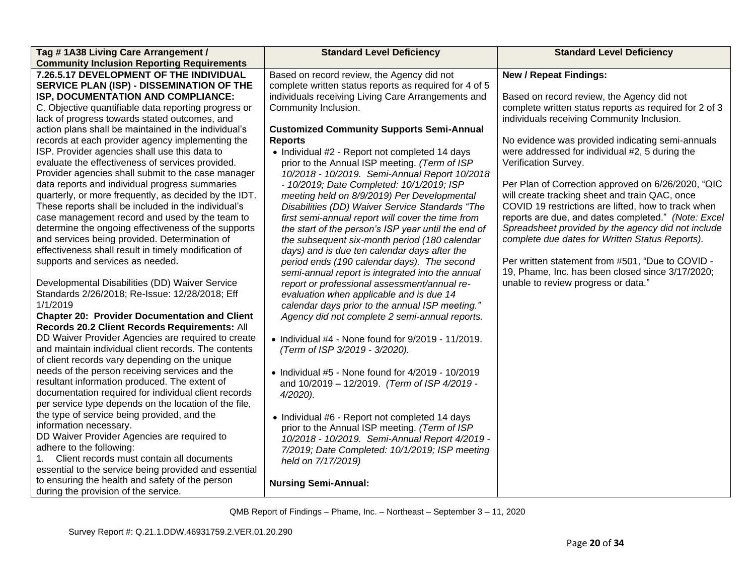| Tag #1A38 Living Care Arrangement /                   | <b>Standard Level Deficiency</b>                           | <b>Standard Level Deficiency</b>                       |  |
|-------------------------------------------------------|------------------------------------------------------------|--------------------------------------------------------|--|
| <b>Community Inclusion Reporting Requirements</b>     |                                                            |                                                        |  |
| 7.26.5.17 DEVELOPMENT OF THE INDIVIDUAL               | Based on record review, the Agency did not                 | <b>New / Repeat Findings:</b>                          |  |
| SERVICE PLAN (ISP) - DISSEMINATION OF THE             | complete written status reports as required for 4 of 5     |                                                        |  |
| ISP, DOCUMENTATION AND COMPLIANCE:                    | individuals receiving Living Care Arrangements and         | Based on record review, the Agency did not             |  |
| C. Objective quantifiable data reporting progress or  | Community Inclusion.                                       | complete written status reports as required for 2 of 3 |  |
| lack of progress towards stated outcomes, and         |                                                            | individuals receiving Community Inclusion.             |  |
| action plans shall be maintained in the individual's  | <b>Customized Community Supports Semi-Annual</b>           |                                                        |  |
| records at each provider agency implementing the      | <b>Reports</b>                                             | No evidence was provided indicating semi-annuals       |  |
| ISP. Provider agencies shall use this data to         | • Individual #2 - Report not completed 14 days             | were addressed for individual #2, 5 during the         |  |
| evaluate the effectiveness of services provided.      | prior to the Annual ISP meeting. (Term of ISP              | Verification Survey.                                   |  |
| Provider agencies shall submit to the case manager    | 10/2018 - 10/2019. Semi-Annual Report 10/2018              |                                                        |  |
| data reports and individual progress summaries        | - 10/2019; Date Completed: 10/1/2019; ISP                  | Per Plan of Correction approved on 6/26/2020, "QIC     |  |
| quarterly, or more frequently, as decided by the IDT. | meeting held on 8/9/2019) Per Developmental                | will create tracking sheet and train QAC, once         |  |
| These reports shall be included in the individual's   | Disabilities (DD) Waiver Service Standards "The            | COVID 19 restrictions are lifted, how to track when    |  |
| case management record and used by the team to        | first semi-annual report will cover the time from          | reports are due, and dates completed." (Note: Excel    |  |
| determine the ongoing effectiveness of the supports   | the start of the person's ISP year until the end of        | Spreadsheet provided by the agency did not include     |  |
| and services being provided. Determination of         | the subsequent six-month period (180 calendar              | complete due dates for Written Status Reports).        |  |
| effectiveness shall result in timely modification of  | days) and is due ten calendar days after the               |                                                        |  |
| supports and services as needed.                      | period ends (190 calendar days). The second                | Per written statement from #501, "Due to COVID -       |  |
|                                                       | semi-annual report is integrated into the annual           | 19, Phame, Inc. has been closed since 3/17/2020;       |  |
| Developmental Disabilities (DD) Waiver Service        | report or professional assessment/annual re-               | unable to review progress or data."                    |  |
| Standards 2/26/2018; Re-Issue: 12/28/2018; Eff        | evaluation when applicable and is due 14                   |                                                        |  |
| 1/1/2019                                              | calendar days prior to the annual ISP meeting."            |                                                        |  |
| <b>Chapter 20: Provider Documentation and Client</b>  | Agency did not complete 2 semi-annual reports.             |                                                        |  |
| Records 20.2 Client Records Requirements: All         |                                                            |                                                        |  |
| DD Waiver Provider Agencies are required to create    | $\bullet$ Individual #4 - None found for 9/2019 - 11/2019. |                                                        |  |
| and maintain individual client records. The contents  | (Term of ISP 3/2019 - 3/2020).                             |                                                        |  |
| of client records vary depending on the unique        |                                                            |                                                        |  |
| needs of the person receiving services and the        | $\bullet$ Individual #5 - None found for 4/2019 - 10/2019  |                                                        |  |
| resultant information produced. The extent of         | and 10/2019 - 12/2019. (Term of ISP 4/2019 -               |                                                        |  |
| documentation required for individual client records  | $4/2020$ ).                                                |                                                        |  |
| per service type depends on the location of the file, |                                                            |                                                        |  |
| the type of service being provided, and the           | • Individual #6 - Report not completed 14 days             |                                                        |  |
| information necessary.                                | prior to the Annual ISP meeting. (Term of ISP              |                                                        |  |
| DD Waiver Provider Agencies are required to           | 10/2018 - 10/2019. Semi-Annual Report 4/2019 -             |                                                        |  |
| adhere to the following:                              | 7/2019; Date Completed: 10/1/2019; ISP meeting             |                                                        |  |
| Client records must contain all documents<br>1.       | held on 7/17/2019)                                         |                                                        |  |
| essential to the service being provided and essential |                                                            |                                                        |  |
| to ensuring the health and safety of the person       | <b>Nursing Semi-Annual:</b>                                |                                                        |  |
| during the provision of the service.                  |                                                            |                                                        |  |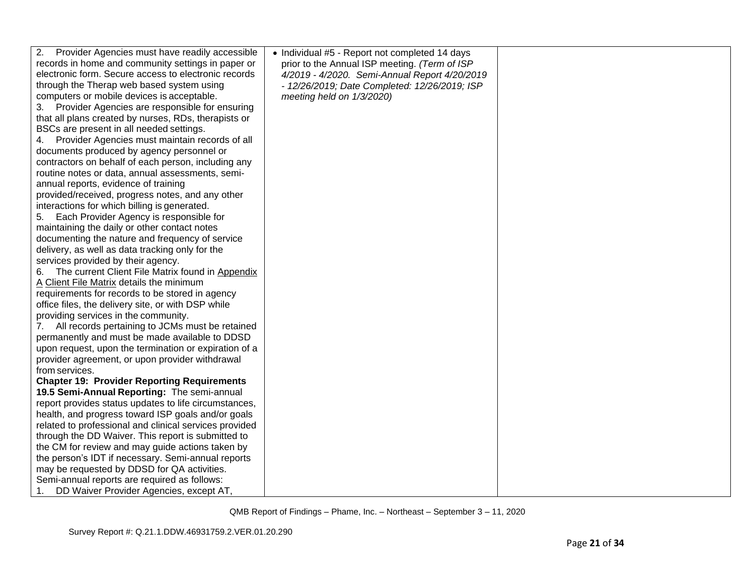| 2.<br>Provider Agencies must have readily accessible   | • Individual #5 - Report not completed 14 days |  |
|--------------------------------------------------------|------------------------------------------------|--|
| records in home and community settings in paper or     | prior to the Annual ISP meeting. (Term of ISP  |  |
| electronic form. Secure access to electronic records   | 4/2019 - 4/2020. Semi-Annual Report 4/20/2019  |  |
| through the Therap web based system using              | - 12/26/2019; Date Completed: 12/26/2019; ISP  |  |
| computers or mobile devices is acceptable.             | meeting held on 1/3/2020)                      |  |
| Provider Agencies are responsible for ensuring<br>3.   |                                                |  |
| that all plans created by nurses, RDs, therapists or   |                                                |  |
| BSCs are present in all needed settings.               |                                                |  |
| Provider Agencies must maintain records of all<br>4.   |                                                |  |
| documents produced by agency personnel or              |                                                |  |
| contractors on behalf of each person, including any    |                                                |  |
| routine notes or data, annual assessments, semi-       |                                                |  |
| annual reports, evidence of training                   |                                                |  |
| provided/received, progress notes, and any other       |                                                |  |
| interactions for which billing is generated.           |                                                |  |
| Each Provider Agency is responsible for<br>5.          |                                                |  |
| maintaining the daily or other contact notes           |                                                |  |
| documenting the nature and frequency of service        |                                                |  |
| delivery, as well as data tracking only for the        |                                                |  |
| services provided by their agency.                     |                                                |  |
| The current Client File Matrix found in Appendix<br>6. |                                                |  |
| A Client File Matrix details the minimum               |                                                |  |
| requirements for records to be stored in agency        |                                                |  |
| office files, the delivery site, or with DSP while     |                                                |  |
| providing services in the community.                   |                                                |  |
| All records pertaining to JCMs must be retained<br>7.  |                                                |  |
| permanently and must be made available to DDSD         |                                                |  |
| upon request, upon the termination or expiration of a  |                                                |  |
| provider agreement, or upon provider withdrawal        |                                                |  |
| from services.                                         |                                                |  |
| <b>Chapter 19: Provider Reporting Requirements</b>     |                                                |  |
| 19.5 Semi-Annual Reporting: The semi-annual            |                                                |  |
| report provides status updates to life circumstances,  |                                                |  |
| health, and progress toward ISP goals and/or goals     |                                                |  |
| related to professional and clinical services provided |                                                |  |
| through the DD Waiver. This report is submitted to     |                                                |  |
| the CM for review and may guide actions taken by       |                                                |  |
| the person's IDT if necessary. Semi-annual reports     |                                                |  |
| may be requested by DDSD for QA activities.            |                                                |  |
| Semi-annual reports are required as follows:           |                                                |  |
| DD Waiver Provider Agencies, except AT,<br>1.          |                                                |  |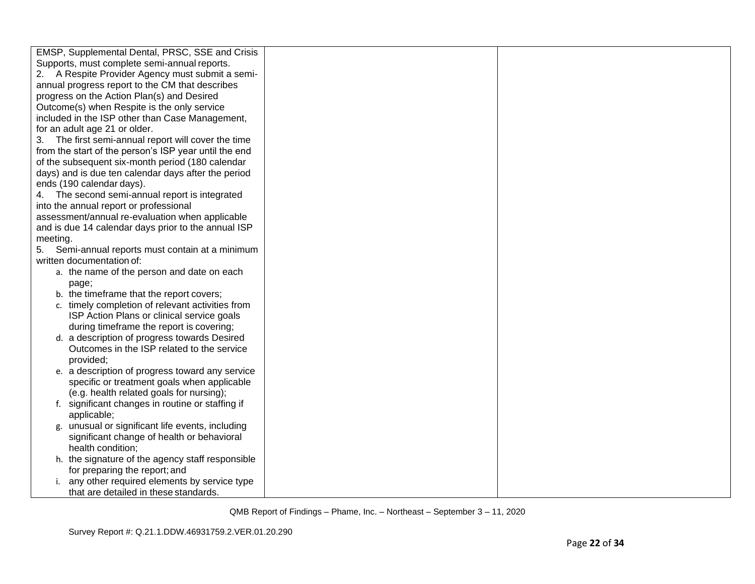| EMSP, Supplemental Dental, PRSC, SSE and Crisis       |  |
|-------------------------------------------------------|--|
| Supports, must complete semi-annual reports.          |  |
| 2. A Respite Provider Agency must submit a semi-      |  |
| annual progress report to the CM that describes       |  |
| progress on the Action Plan(s) and Desired            |  |
| Outcome(s) when Respite is the only service           |  |
| included in the ISP other than Case Management,       |  |
| for an adult age 21 or older.                         |  |
| 3. The first semi-annual report will cover the time   |  |
| from the start of the person's ISP year until the end |  |
| of the subsequent six-month period (180 calendar      |  |
| days) and is due ten calendar days after the period   |  |
| ends (190 calendar days).                             |  |
| 4. The second semi-annual report is integrated        |  |
| into the annual report or professional                |  |
| assessment/annual re-evaluation when applicable       |  |
| and is due 14 calendar days prior to the annual ISP   |  |
| meeting.                                              |  |
| Semi-annual reports must contain at a minimum<br>5.   |  |
| written documentation of:                             |  |
| a. the name of the person and date on each            |  |
|                                                       |  |
| page;<br>b. the timeframe that the report covers;     |  |
|                                                       |  |
| c. timely completion of relevant activities from      |  |
| ISP Action Plans or clinical service goals            |  |
| during timeframe the report is covering;              |  |
| d. a description of progress towards Desired          |  |
| Outcomes in the ISP related to the service            |  |
| provided;                                             |  |
| e. a description of progress toward any service       |  |
| specific or treatment goals when applicable           |  |
| (e.g. health related goals for nursing);              |  |
| f. significant changes in routine or staffing if      |  |
| applicable;                                           |  |
| g. unusual or significant life events, including      |  |
| significant change of health or behavioral            |  |
| health condition;                                     |  |
| h. the signature of the agency staff responsible      |  |
| for preparing the report; and                         |  |
| i. any other required elements by service type        |  |
| that are detailed in these standards.                 |  |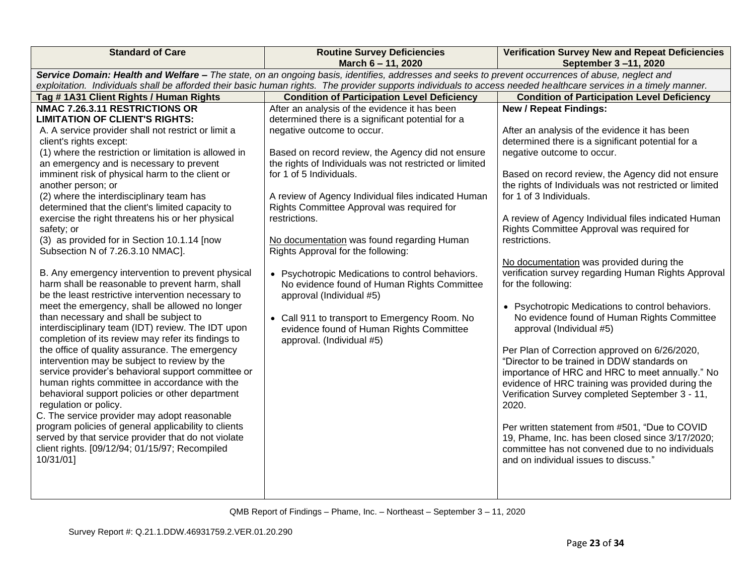| <b>Standard of Care</b>                                                                                                                                                                                                                                                                                                                                                                                                                                                                                                                                                                                                                                                                                                                                                                                                                                                                                                                                                                                                                                                                                                                                                                                                                                                                                                                                                                                                                                                              | <b>Routine Survey Deficiencies</b><br>March 6 - 11, 2020                                                                                                                                                                                                                                                                                                                                                                                                                                                                                                                                                                                                                                                                                       | <b>Verification Survey New and Repeat Deficiencies</b><br>September 3-11, 2020                                                                                                                                                                                                                                                                                                                                                                                                                                                                                                                                                                                                                                                                                                                                                                                                                                                                                                                                                                                                                                                                                   |  |  |
|--------------------------------------------------------------------------------------------------------------------------------------------------------------------------------------------------------------------------------------------------------------------------------------------------------------------------------------------------------------------------------------------------------------------------------------------------------------------------------------------------------------------------------------------------------------------------------------------------------------------------------------------------------------------------------------------------------------------------------------------------------------------------------------------------------------------------------------------------------------------------------------------------------------------------------------------------------------------------------------------------------------------------------------------------------------------------------------------------------------------------------------------------------------------------------------------------------------------------------------------------------------------------------------------------------------------------------------------------------------------------------------------------------------------------------------------------------------------------------------|------------------------------------------------------------------------------------------------------------------------------------------------------------------------------------------------------------------------------------------------------------------------------------------------------------------------------------------------------------------------------------------------------------------------------------------------------------------------------------------------------------------------------------------------------------------------------------------------------------------------------------------------------------------------------------------------------------------------------------------------|------------------------------------------------------------------------------------------------------------------------------------------------------------------------------------------------------------------------------------------------------------------------------------------------------------------------------------------------------------------------------------------------------------------------------------------------------------------------------------------------------------------------------------------------------------------------------------------------------------------------------------------------------------------------------------------------------------------------------------------------------------------------------------------------------------------------------------------------------------------------------------------------------------------------------------------------------------------------------------------------------------------------------------------------------------------------------------------------------------------------------------------------------------------|--|--|
| Service Domain: Health and Welfare - The state, on an ongoing basis, identifies, addresses and seeks to prevent occurrences of abuse, neglect and<br>exploitation. Individuals shall be afforded their basic human rights. The provider supports individuals to access needed healthcare services in a timely manner.                                                                                                                                                                                                                                                                                                                                                                                                                                                                                                                                                                                                                                                                                                                                                                                                                                                                                                                                                                                                                                                                                                                                                                |                                                                                                                                                                                                                                                                                                                                                                                                                                                                                                                                                                                                                                                                                                                                                |                                                                                                                                                                                                                                                                                                                                                                                                                                                                                                                                                                                                                                                                                                                                                                                                                                                                                                                                                                                                                                                                                                                                                                  |  |  |
| Tag # 1A31 Client Rights / Human Rights                                                                                                                                                                                                                                                                                                                                                                                                                                                                                                                                                                                                                                                                                                                                                                                                                                                                                                                                                                                                                                                                                                                                                                                                                                                                                                                                                                                                                                              | <b>Condition of Participation Level Deficiency</b><br><b>Condition of Participation Level Deficiency</b>                                                                                                                                                                                                                                                                                                                                                                                                                                                                                                                                                                                                                                       |                                                                                                                                                                                                                                                                                                                                                                                                                                                                                                                                                                                                                                                                                                                                                                                                                                                                                                                                                                                                                                                                                                                                                                  |  |  |
| NMAC 7.26.3.11 RESTRICTIONS OR<br><b>LIMITATION OF CLIENT'S RIGHTS:</b><br>A. A service provider shall not restrict or limit a<br>client's rights except:<br>(1) where the restriction or limitation is allowed in<br>an emergency and is necessary to prevent<br>imminent risk of physical harm to the client or<br>another person; or<br>(2) where the interdisciplinary team has<br>determined that the client's limited capacity to<br>exercise the right threatens his or her physical<br>safety; or<br>(3) as provided for in Section 10.1.14 [now<br>Subsection N of 7.26.3.10 NMAC].<br>B. Any emergency intervention to prevent physical<br>harm shall be reasonable to prevent harm, shall<br>be the least restrictive intervention necessary to<br>meet the emergency, shall be allowed no longer<br>than necessary and shall be subject to<br>interdisciplinary team (IDT) review. The IDT upon<br>completion of its review may refer its findings to<br>the office of quality assurance. The emergency<br>intervention may be subject to review by the<br>service provider's behavioral support committee or<br>human rights committee in accordance with the<br>behavioral support policies or other department<br>regulation or policy.<br>C. The service provider may adopt reasonable<br>program policies of general applicability to clients<br>served by that service provider that do not violate<br>client rights. [09/12/94; 01/15/97; Recompiled<br>10/31/01] | After an analysis of the evidence it has been<br>determined there is a significant potential for a<br>negative outcome to occur.<br>Based on record review, the Agency did not ensure<br>the rights of Individuals was not restricted or limited<br>for 1 of 5 Individuals.<br>A review of Agency Individual files indicated Human<br>Rights Committee Approval was required for<br>restrictions.<br>No documentation was found regarding Human<br>Rights Approval for the following:<br>• Psychotropic Medications to control behaviors.<br>No evidence found of Human Rights Committee<br>approval (Individual #5)<br>• Call 911 to transport to Emergency Room. No<br>evidence found of Human Rights Committee<br>approval. (Individual #5) | <b>New / Repeat Findings:</b><br>After an analysis of the evidence it has been<br>determined there is a significant potential for a<br>negative outcome to occur.<br>Based on record review, the Agency did not ensure<br>the rights of Individuals was not restricted or limited<br>for 1 of 3 Individuals.<br>A review of Agency Individual files indicated Human<br>Rights Committee Approval was required for<br>restrictions.<br>No documentation was provided during the<br>verification survey regarding Human Rights Approval<br>for the following:<br>• Psychotropic Medications to control behaviors.<br>No evidence found of Human Rights Committee<br>approval (Individual #5)<br>Per Plan of Correction approved on 6/26/2020,<br>"Director to be trained in DDW standards on<br>importance of HRC and HRC to meet annually." No<br>evidence of HRC training was provided during the<br>Verification Survey completed September 3 - 11,<br>2020.<br>Per written statement from #501, "Due to COVID<br>19, Phame, Inc. has been closed since 3/17/2020;<br>committee has not convened due to no individuals<br>and on individual issues to discuss." |  |  |
|                                                                                                                                                                                                                                                                                                                                                                                                                                                                                                                                                                                                                                                                                                                                                                                                                                                                                                                                                                                                                                                                                                                                                                                                                                                                                                                                                                                                                                                                                      |                                                                                                                                                                                                                                                                                                                                                                                                                                                                                                                                                                                                                                                                                                                                                |                                                                                                                                                                                                                                                                                                                                                                                                                                                                                                                                                                                                                                                                                                                                                                                                                                                                                                                                                                                                                                                                                                                                                                  |  |  |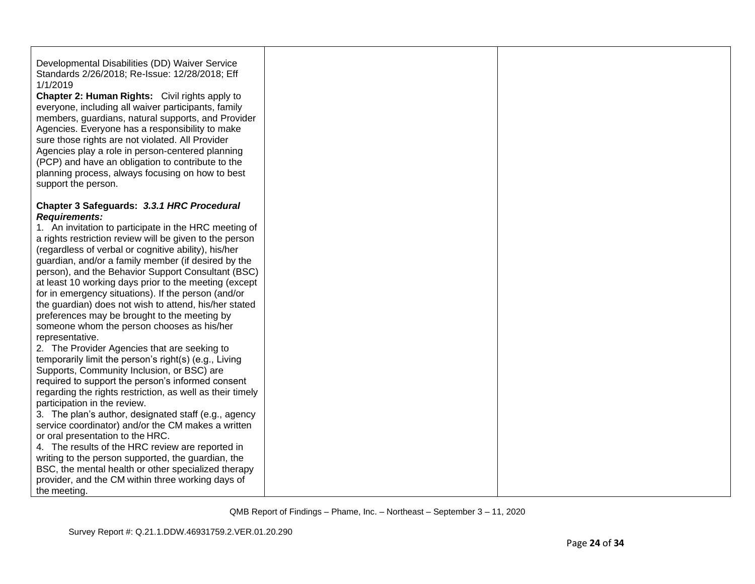Developmental Disabilities (DD) Waiver Service Standards 2/26/2018; Re-Issue: 12/28/2018; Eff 1/1/2019

**Chapter 2: Human Rights:** Civil rights apply to everyone, including all waiver participants, family members, guardians, natural supports, and Provider Agencies. Everyone has a responsibility to make sure those rights are not violated. All Provider Agencies play a role in person-centered planning (PCP) and have an obligation to contribute to the planning process, always focusing on how to best support the person.

## **Chapter 3 Safeguards:** *3.3.1 HRC Procedural Requirements:*

1. An invitation to participate in the HRC meeting of a rights restriction review will be given to the person (regardless of verbal or cognitive ability), his/her guardian, and/or a family member (if desired by the person), and the Behavior Support Consultant (BSC) at least 10 working days prior to the meeting (except for in emergency situations). If the person (and/or the guardian) does not wish to attend, his/her stated preferences may be brought to the meeting by someone whom the person chooses as his/her representative.

2. The Provider Agencies that are seeking to temporarily limit the person's right(s) (e.g., Living Supports, Community Inclusion, or BSC) are required to support the person's informed consent regarding the rights restriction, as well as their timely participation in the review.

3. The plan's author, designated staff (e.g., agency service coordinator) and/or the CM makes a written or oral presentation to the HRC.

4. The results of the HRC review are reported in writing to the person supported, the guardian, the BSC, the mental health or other specialized therapy provider, and the CM within three working days of the meeting.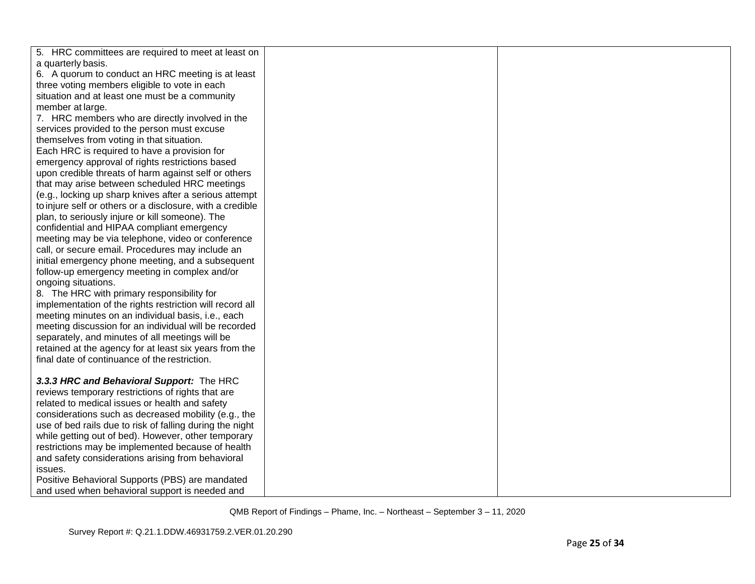| 5. HRC committees are required to meet at least on<br>a quarterly basis.<br>6. A quorum to conduct an HRC meeting is at least |
|-------------------------------------------------------------------------------------------------------------------------------|
|                                                                                                                               |
|                                                                                                                               |
|                                                                                                                               |
| three voting members eligible to vote in each                                                                                 |
| situation and at least one must be a community                                                                                |
| member at large.                                                                                                              |
| 7. HRC members who are directly involved in the                                                                               |
| services provided to the person must excuse                                                                                   |
| themselves from voting in that situation.                                                                                     |
| Each HRC is required to have a provision for                                                                                  |
| emergency approval of rights restrictions based                                                                               |
| upon credible threats of harm against self or others                                                                          |
| that may arise between scheduled HRC meetings                                                                                 |
| (e.g., locking up sharp knives after a serious attempt                                                                        |
| to injure self or others or a disclosure, with a credible                                                                     |
| plan, to seriously injure or kill someone). The                                                                               |
| confidential and HIPAA compliant emergency                                                                                    |
| meeting may be via telephone, video or conference                                                                             |
| call, or secure email. Procedures may include an                                                                              |
| initial emergency phone meeting, and a subsequent                                                                             |
| follow-up emergency meeting in complex and/or                                                                                 |
| ongoing situations.                                                                                                           |
| 8. The HRC with primary responsibility for                                                                                    |
| implementation of the rights restriction will record all                                                                      |
| meeting minutes on an individual basis, i.e., each                                                                            |
| meeting discussion for an individual will be recorded                                                                         |
| separately, and minutes of all meetings will be                                                                               |
| retained at the agency for at least six years from the                                                                        |
| final date of continuance of the restriction.                                                                                 |
|                                                                                                                               |
| 3.3.3 HRC and Behavioral Support: The HRC                                                                                     |
| reviews temporary restrictions of rights that are                                                                             |
| related to medical issues or health and safety                                                                                |
| considerations such as decreased mobility (e.g., the                                                                          |
| use of bed rails due to risk of falling during the night                                                                      |
| while getting out of bed). However, other temporary                                                                           |
| restrictions may be implemented because of health                                                                             |
| and safety considerations arising from behavioral                                                                             |
| issues.                                                                                                                       |
| Positive Behavioral Supports (PBS) are mandated                                                                               |
| and used when behavioral support is needed and                                                                                |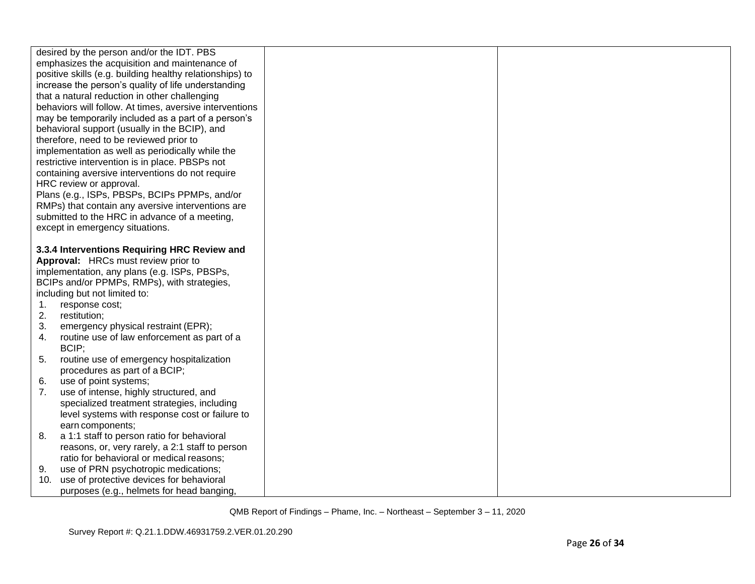|     | desired by the person and/or the IDT. PBS                |  |
|-----|----------------------------------------------------------|--|
|     | emphasizes the acquisition and maintenance of            |  |
|     | positive skills (e.g. building healthy relationships) to |  |
|     | increase the person's quality of life understanding      |  |
|     | that a natural reduction in other challenging            |  |
|     | behaviors will follow. At times, aversive interventions  |  |
|     | may be temporarily included as a part of a person's      |  |
|     | behavioral support (usually in the BCIP), and            |  |
|     | therefore, need to be reviewed prior to                  |  |
|     | implementation as well as periodically while the         |  |
|     | restrictive intervention is in place. PBSPs not          |  |
|     | containing aversive interventions do not require         |  |
|     | HRC review or approval.                                  |  |
|     | Plans (e.g., ISPs, PBSPs, BCIPs PPMPs, and/or            |  |
|     | RMPs) that contain any aversive interventions are        |  |
|     | submitted to the HRC in advance of a meeting,            |  |
|     | except in emergency situations.                          |  |
|     |                                                          |  |
|     | 3.3.4 Interventions Requiring HRC Review and             |  |
|     | Approval: HRCs must review prior to                      |  |
|     | implementation, any plans (e.g. ISPs, PBSPs,             |  |
|     | BCIPs and/or PPMPs, RMPs), with strategies,              |  |
|     | including but not limited to:                            |  |
| 1.  | response cost;                                           |  |
| 2.  | restitution;                                             |  |
| 3.  | emergency physical restraint (EPR);                      |  |
| 4.  | routine use of law enforcement as part of a              |  |
|     | BCIP;                                                    |  |
| 5.  | routine use of emergency hospitalization                 |  |
|     | procedures as part of a BCIP;                            |  |
| 6.  | use of point systems;                                    |  |
| 7.  | use of intense, highly structured, and                   |  |
|     | specialized treatment strategies, including              |  |
|     | level systems with response cost or failure to           |  |
|     | earn components;                                         |  |
| 8.  | a 1:1 staff to person ratio for behavioral               |  |
|     | reasons, or, very rarely, a 2:1 staff to person          |  |
|     | ratio for behavioral or medical reasons;                 |  |
| 9.  | use of PRN psychotropic medications;                     |  |
| 10. | use of protective devices for behavioral                 |  |
|     | purposes (e.g., helmets for head banging,                |  |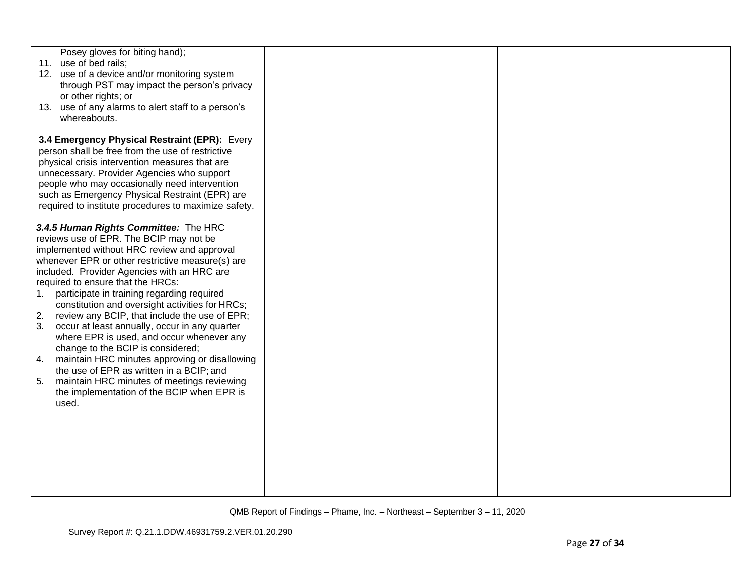| Posey gloves for biting hand);<br>11. use of bed rails;<br>12. use of a device and/or monitoring system<br>through PST may impact the person's privacy<br>or other rights; or<br>13. use of any alarms to alert staff to a person's<br>whereabouts.                                                                                                                                                                                                                                                                                                                                                                                                                                                                                                                                          |  |
|----------------------------------------------------------------------------------------------------------------------------------------------------------------------------------------------------------------------------------------------------------------------------------------------------------------------------------------------------------------------------------------------------------------------------------------------------------------------------------------------------------------------------------------------------------------------------------------------------------------------------------------------------------------------------------------------------------------------------------------------------------------------------------------------|--|
| 3.4 Emergency Physical Restraint (EPR): Every<br>person shall be free from the use of restrictive<br>physical crisis intervention measures that are<br>unnecessary. Provider Agencies who support<br>people who may occasionally need intervention<br>such as Emergency Physical Restraint (EPR) are<br>required to institute procedures to maximize safety.                                                                                                                                                                                                                                                                                                                                                                                                                                 |  |
| 3.4.5 Human Rights Committee: The HRC<br>reviews use of EPR. The BCIP may not be<br>implemented without HRC review and approval<br>whenever EPR or other restrictive measure(s) are<br>included. Provider Agencies with an HRC are<br>required to ensure that the HRCs:<br>participate in training regarding required<br>1.<br>constitution and oversight activities for HRCs;<br>2.<br>review any BCIP, that include the use of EPR;<br>3.<br>occur at least annually, occur in any quarter<br>where EPR is used, and occur whenever any<br>change to the BCIP is considered;<br>maintain HRC minutes approving or disallowing<br>4.<br>the use of EPR as written in a BCIP; and<br>maintain HRC minutes of meetings reviewing<br>5.<br>the implementation of the BCIP when EPR is<br>used. |  |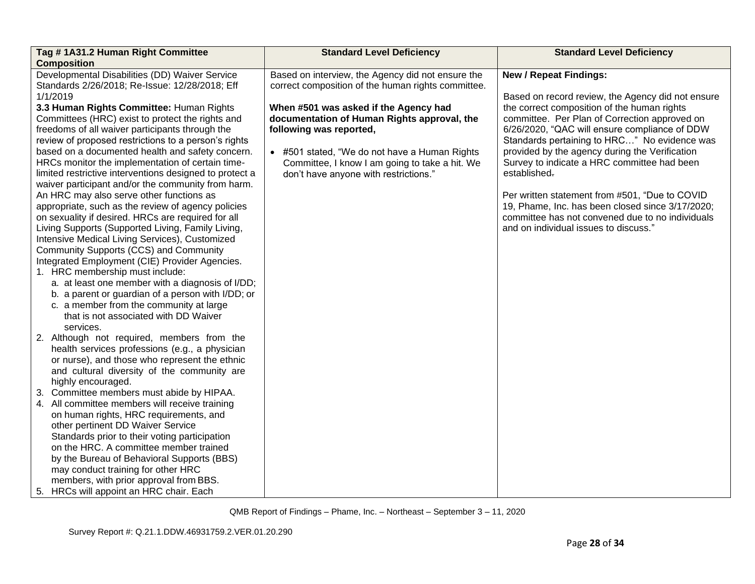| Tag #1A31.2 Human Right Committee                                                                                                                                                                                                                                                                                                                                                                                                                                                                                                                                                                                                                                                                        | <b>Standard Level Deficiency</b>                                                                                                                                                                                   | <b>Standard Level Deficiency</b>                                                                                                                                                                                                                                                                                                                    |  |
|----------------------------------------------------------------------------------------------------------------------------------------------------------------------------------------------------------------------------------------------------------------------------------------------------------------------------------------------------------------------------------------------------------------------------------------------------------------------------------------------------------------------------------------------------------------------------------------------------------------------------------------------------------------------------------------------------------|--------------------------------------------------------------------------------------------------------------------------------------------------------------------------------------------------------------------|-----------------------------------------------------------------------------------------------------------------------------------------------------------------------------------------------------------------------------------------------------------------------------------------------------------------------------------------------------|--|
| <b>Composition</b>                                                                                                                                                                                                                                                                                                                                                                                                                                                                                                                                                                                                                                                                                       |                                                                                                                                                                                                                    |                                                                                                                                                                                                                                                                                                                                                     |  |
| Developmental Disabilities (DD) Waiver Service<br>Standards 2/26/2018; Re-Issue: 12/28/2018; Eff                                                                                                                                                                                                                                                                                                                                                                                                                                                                                                                                                                                                         | Based on interview, the Agency did not ensure the<br>correct composition of the human rights committee.                                                                                                            | <b>New / Repeat Findings:</b>                                                                                                                                                                                                                                                                                                                       |  |
| 1/1/2019<br>3.3 Human Rights Committee: Human Rights<br>Committees (HRC) exist to protect the rights and<br>freedoms of all waiver participants through the<br>review of proposed restrictions to a person's rights<br>based on a documented health and safety concern.<br>HRCs monitor the implementation of certain time-                                                                                                                                                                                                                                                                                                                                                                              | When #501 was asked if the Agency had<br>documentation of Human Rights approval, the<br>following was reported,<br>• #501 stated, "We do not have a Human Rights<br>Committee, I know I am going to take a hit. We | Based on record review, the Agency did not ensure<br>the correct composition of the human rights<br>committee. Per Plan of Correction approved on<br>6/26/2020, "QAC will ensure compliance of DDW<br>Standards pertaining to HRC" No evidence was<br>provided by the agency during the Verification<br>Survey to indicate a HRC committee had been |  |
| limited restrictive interventions designed to protect a<br>waiver participant and/or the community from harm.<br>An HRC may also serve other functions as<br>appropriate, such as the review of agency policies<br>on sexuality if desired. HRCs are required for all<br>Living Supports (Supported Living, Family Living,<br>Intensive Medical Living Services), Customized<br>Community Supports (CCS) and Community<br>Integrated Employment (CIE) Provider Agencies.<br>1. HRC membership must include:<br>a. at least one member with a diagnosis of I/DD;<br>b. a parent or guardian of a person with I/DD; or<br>c. a member from the community at large<br>that is not associated with DD Waiver | don't have anyone with restrictions."                                                                                                                                                                              | established.<br>Per written statement from #501, "Due to COVID<br>19, Phame, Inc. has been closed since 3/17/2020;<br>committee has not convened due to no individuals<br>and on individual issues to discuss."                                                                                                                                     |  |
| services.<br>2. Although not required, members from the<br>health services professions (e.g., a physician<br>or nurse), and those who represent the ethnic<br>and cultural diversity of the community are<br>highly encouraged.<br>3. Committee members must abide by HIPAA.                                                                                                                                                                                                                                                                                                                                                                                                                             |                                                                                                                                                                                                                    |                                                                                                                                                                                                                                                                                                                                                     |  |
| 4. All committee members will receive training<br>on human rights, HRC requirements, and<br>other pertinent DD Waiver Service<br>Standards prior to their voting participation<br>on the HRC. A committee member trained<br>by the Bureau of Behavioral Supports (BBS)<br>may conduct training for other HRC<br>members, with prior approval from BBS.<br>5. HRCs will appoint an HRC chair. Each                                                                                                                                                                                                                                                                                                        |                                                                                                                                                                                                                    |                                                                                                                                                                                                                                                                                                                                                     |  |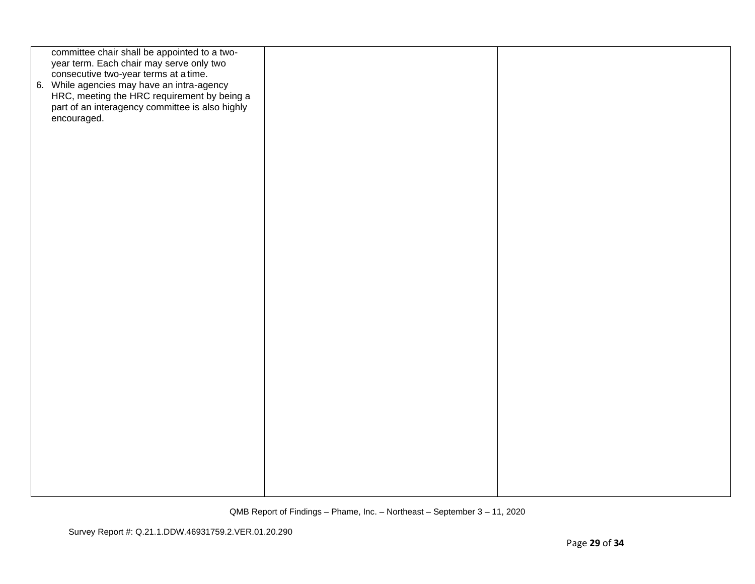| committee chair shall be appointed to a two-    |  |
|-------------------------------------------------|--|
|                                                 |  |
| year term. Each chair may serve only two        |  |
|                                                 |  |
| consecutive two-year terms at a time.           |  |
|                                                 |  |
| 6. While agencies may have an intra-agency      |  |
|                                                 |  |
| HRC, meeting the HRC requirement by being a     |  |
| part of an interagency committee is also highly |  |
|                                                 |  |
| encouraged.                                     |  |
|                                                 |  |
|                                                 |  |
|                                                 |  |
|                                                 |  |
|                                                 |  |
|                                                 |  |
|                                                 |  |
|                                                 |  |
|                                                 |  |
|                                                 |  |
|                                                 |  |
|                                                 |  |
|                                                 |  |
|                                                 |  |
|                                                 |  |
|                                                 |  |
|                                                 |  |
|                                                 |  |
|                                                 |  |
|                                                 |  |
|                                                 |  |
|                                                 |  |
|                                                 |  |
|                                                 |  |
|                                                 |  |
|                                                 |  |
|                                                 |  |
|                                                 |  |
|                                                 |  |
|                                                 |  |
|                                                 |  |
|                                                 |  |
|                                                 |  |
|                                                 |  |
|                                                 |  |
|                                                 |  |
|                                                 |  |
|                                                 |  |
|                                                 |  |
|                                                 |  |
|                                                 |  |
|                                                 |  |
|                                                 |  |
|                                                 |  |
|                                                 |  |
|                                                 |  |
|                                                 |  |
|                                                 |  |
|                                                 |  |
|                                                 |  |
|                                                 |  |
|                                                 |  |
|                                                 |  |
|                                                 |  |
|                                                 |  |
|                                                 |  |
|                                                 |  |
|                                                 |  |
|                                                 |  |
|                                                 |  |
|                                                 |  |
|                                                 |  |
|                                                 |  |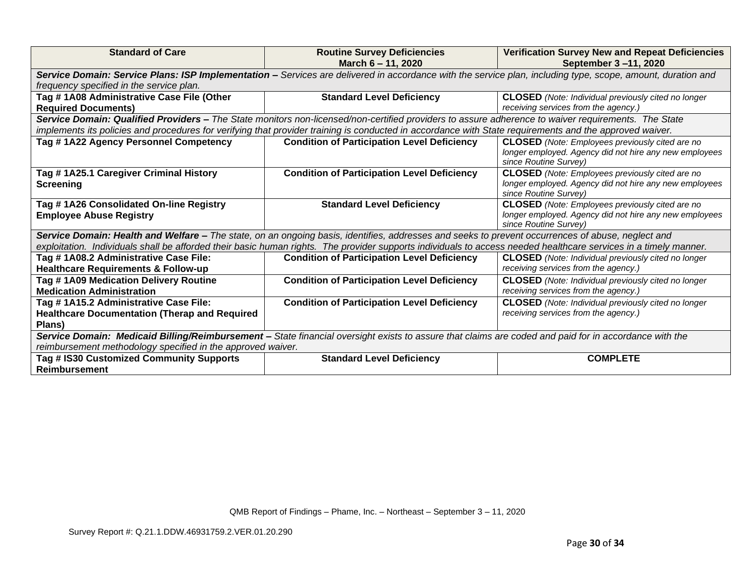| <b>Standard of Care</b>                                                                                                                                                    | <b>Routine Survey Deficiencies</b><br><b>Verification Survey New and Repeat Deficiencies</b><br>March 6 - 11, 2020<br>September 3-11, 2020                       |                                                            |  |  |
|----------------------------------------------------------------------------------------------------------------------------------------------------------------------------|------------------------------------------------------------------------------------------------------------------------------------------------------------------|------------------------------------------------------------|--|--|
| Service Domain: Service Plans: ISP Implementation - Services are delivered in accordance with the service plan, including type, scope, amount, duration and                |                                                                                                                                                                  |                                                            |  |  |
| frequency specified in the service plan.                                                                                                                                   |                                                                                                                                                                  |                                                            |  |  |
| Tag #1A08 Administrative Case File (Other                                                                                                                                  | <b>Standard Level Deficiency</b>                                                                                                                                 | <b>CLOSED</b> (Note: Individual previously cited no longer |  |  |
| <b>Required Documents)</b>                                                                                                                                                 |                                                                                                                                                                  | receiving services from the agency.)                       |  |  |
|                                                                                                                                                                            | Service Domain: Qualified Providers - The State monitors non-licensed/non-certified providers to assure adherence to waiver requirements. The State              |                                                            |  |  |
|                                                                                                                                                                            | implements its policies and procedures for verifying that provider training is conducted in accordance with State requirements and the approved waiver.          |                                                            |  |  |
| Tag #1A22 Agency Personnel Competency                                                                                                                                      | <b>Condition of Participation Level Deficiency</b>                                                                                                               | <b>CLOSED</b> (Note: Employees previously cited are no     |  |  |
|                                                                                                                                                                            |                                                                                                                                                                  | longer employed. Agency did not hire any new employees     |  |  |
|                                                                                                                                                                            |                                                                                                                                                                  | since Routine Survey)                                      |  |  |
| Tag #1A25.1 Caregiver Criminal History                                                                                                                                     | <b>Condition of Participation Level Deficiency</b>                                                                                                               | <b>CLOSED</b> (Note: Employees previously cited are no     |  |  |
| Screening                                                                                                                                                                  |                                                                                                                                                                  | longer employed. Agency did not hire any new employees     |  |  |
| since Routine Survey)                                                                                                                                                      |                                                                                                                                                                  |                                                            |  |  |
| Tag #1A26 Consolidated On-line Registry                                                                                                                                    | <b>Standard Level Deficiency</b>                                                                                                                                 | <b>CLOSED</b> (Note: Employees previously cited are no     |  |  |
| <b>Employee Abuse Registry</b>                                                                                                                                             |                                                                                                                                                                  | longer employed. Agency did not hire any new employees     |  |  |
| since Routine Survey)<br>Service Domain: Health and Welfare – The state, on an ongoing basis, identifies, addresses and seeks to prevent occurrences of abuse, neglect and |                                                                                                                                                                  |                                                            |  |  |
|                                                                                                                                                                            |                                                                                                                                                                  |                                                            |  |  |
|                                                                                                                                                                            | exploitation. Individuals shall be afforded their basic human rights. The provider supports individuals to access needed healthcare services in a timely manner. |                                                            |  |  |
| Tag #1A08.2 Administrative Case File:                                                                                                                                      | <b>Condition of Participation Level Deficiency</b>                                                                                                               | <b>CLOSED</b> (Note: Individual previously cited no longer |  |  |
| <b>Healthcare Requirements &amp; Follow-up</b>                                                                                                                             |                                                                                                                                                                  | receiving services from the agency.)                       |  |  |
| Tag #1A09 Medication Delivery Routine                                                                                                                                      | <b>Condition of Participation Level Deficiency</b>                                                                                                               | <b>CLOSED</b> (Note: Individual previously cited no longer |  |  |
| <b>Medication Administration</b>                                                                                                                                           |                                                                                                                                                                  | receiving services from the agency.)                       |  |  |
| Tag #1A15.2 Administrative Case File:<br><b>Condition of Participation Level Deficiency</b>                                                                                |                                                                                                                                                                  | <b>CLOSED</b> (Note: Individual previously cited no longer |  |  |
| <b>Healthcare Documentation (Therap and Required</b>                                                                                                                       |                                                                                                                                                                  | receiving services from the agency.)                       |  |  |
| Plans)                                                                                                                                                                     |                                                                                                                                                                  |                                                            |  |  |
| Service Domain: Medicaid Billing/Reimbursement - State financial oversight exists to assure that claims are coded and paid for in accordance with the                      |                                                                                                                                                                  |                                                            |  |  |
| reimbursement methodology specified in the approved waiver.                                                                                                                |                                                                                                                                                                  |                                                            |  |  |
| Tag # IS30 Customized Community Supports                                                                                                                                   | <b>Standard Level Deficiency</b>                                                                                                                                 | <b>COMPLETE</b>                                            |  |  |
| <b>Reimbursement</b>                                                                                                                                                       |                                                                                                                                                                  |                                                            |  |  |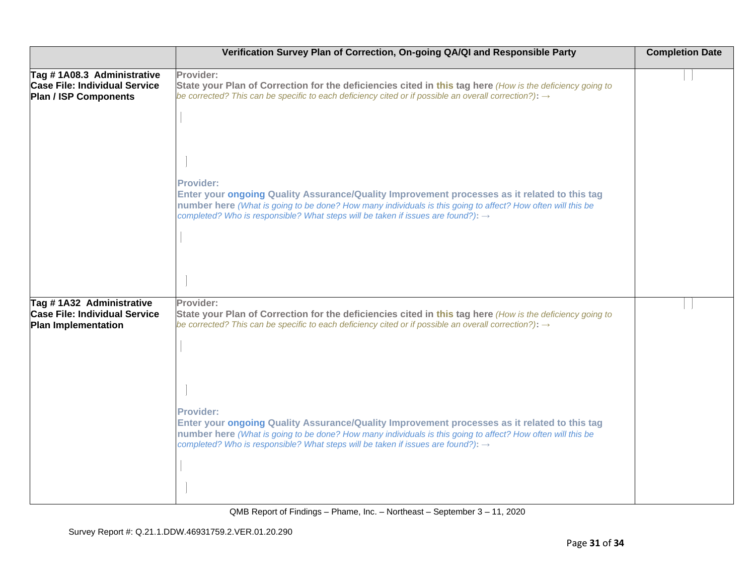|                                                                                                    | Verification Survey Plan of Correction, On-going QA/QI and Responsible Party                                                                                                                                                                                                                                             | <b>Completion Date</b> |
|----------------------------------------------------------------------------------------------------|--------------------------------------------------------------------------------------------------------------------------------------------------------------------------------------------------------------------------------------------------------------------------------------------------------------------------|------------------------|
| Tag #1A08.3 Administrative<br><b>Case File: Individual Service</b><br><b>Plan / ISP Components</b> | Provider:<br>State your Plan of Correction for the deficiencies cited in this tag here (How is the deficiency going to<br>be corrected? This can be specific to each deficiency cited or if possible an overall correction?): $\rightarrow$                                                                              |                        |
|                                                                                                    | Provider:<br>Enter your ongoing Quality Assurance/Quality Improvement processes as it related to this tag<br>number here (What is going to be done? How many individuals is this going to affect? How often will this be<br>completed? Who is responsible? What steps will be taken if issues are found?): $\rightarrow$ |                        |
| Tag #1A32 Administrative<br><b>Case File: Individual Service</b><br>Plan Implementation            | Provider:<br>State your Plan of Correction for the deficiencies cited in this tag here (How is the deficiency going to<br>be corrected? This can be specific to each deficiency cited or if possible an overall correction?): $\rightarrow$                                                                              |                        |
|                                                                                                    | Provider:<br>Enter your ongoing Quality Assurance/Quality Improvement processes as it related to this tag<br>number here (What is going to be done? How many individuals is this going to affect? How often will this be<br>completed? Who is responsible? What steps will be taken if issues are found?): $\rightarrow$ |                        |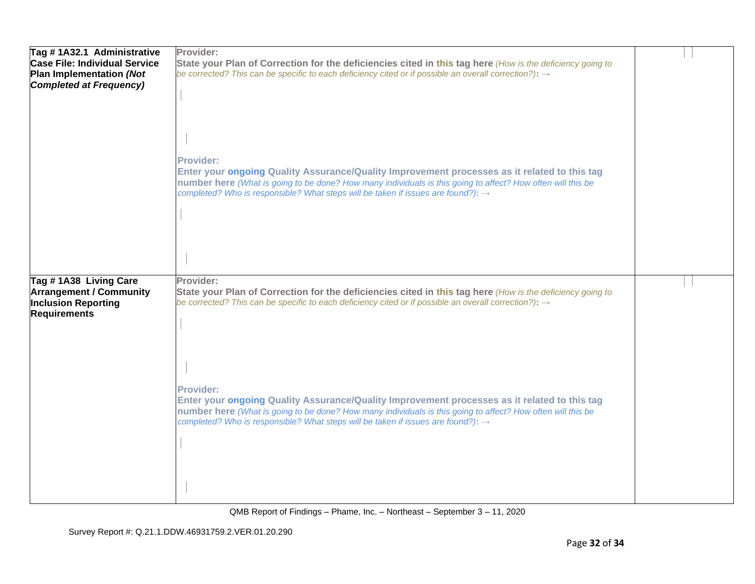| Tag #1A32.1 Administrative<br><b>Case File: Individual Service</b><br>Plan Implementation (Not<br><b>Completed at Frequency)</b> | Provider:<br>State your Plan of Correction for the deficiencies cited in this tag here (How is the deficiency going to<br>be corrected? This can be specific to each deficiency cited or if possible an overall correction?): $\rightarrow$                                                                                     |  |
|----------------------------------------------------------------------------------------------------------------------------------|---------------------------------------------------------------------------------------------------------------------------------------------------------------------------------------------------------------------------------------------------------------------------------------------------------------------------------|--|
|                                                                                                                                  | <b>Provider:</b><br>Enter your ongoing Quality Assurance/Quality Improvement processes as it related to this tag<br>number here (What is going to be done? How many individuals is this going to affect? How often will this be<br>completed? Who is responsible? What steps will be taken if issues are found?): $\rightarrow$ |  |
| Tag #1A38 Living Care<br><b>Arrangement / Community</b><br><b>Inclusion Reporting</b><br><b>Requirements</b>                     | Provider:<br>State your Plan of Correction for the deficiencies cited in this tag here (How is the deficiency going to<br>be corrected? This can be specific to each deficiency cited or if possible an overall correction?): $\rightarrow$                                                                                     |  |
|                                                                                                                                  | Provider:<br>Enter your ongoing Quality Assurance/Quality Improvement processes as it related to this tag<br>number here (What is going to be done? How many individuals is this going to affect? How often will this be<br>completed? Who is responsible? What steps will be taken if issues are found?): $\rightarrow$        |  |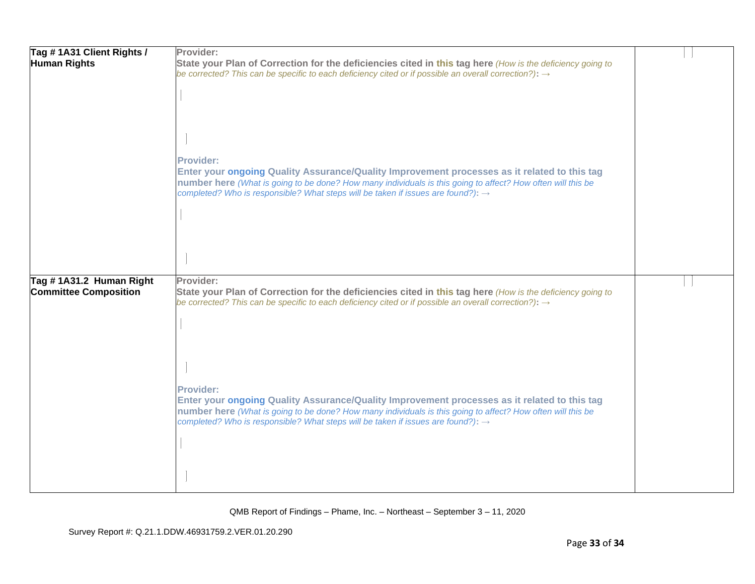| Tag #1A31 Client Rights /<br><b>Human Rights</b> | Provider:<br>State your Plan of Correction for the deficiencies cited in this tag here (How is the deficiency going to                                                                                                         |  |
|--------------------------------------------------|--------------------------------------------------------------------------------------------------------------------------------------------------------------------------------------------------------------------------------|--|
|                                                  | be corrected? This can be specific to each deficiency cited or if possible an overall correction?): $\rightarrow$                                                                                                              |  |
|                                                  |                                                                                                                                                                                                                                |  |
|                                                  |                                                                                                                                                                                                                                |  |
|                                                  |                                                                                                                                                                                                                                |  |
|                                                  |                                                                                                                                                                                                                                |  |
|                                                  | <b>Provider:</b><br>Enter your ongoing Quality Assurance/Quality Improvement processes as it related to this tag                                                                                                               |  |
|                                                  | number here (What is going to be done? How many individuals is this going to affect? How often will this be<br>completed? Who is responsible? What steps will be taken if issues are found?): $\rightarrow$                    |  |
|                                                  |                                                                                                                                                                                                                                |  |
|                                                  |                                                                                                                                                                                                                                |  |
|                                                  |                                                                                                                                                                                                                                |  |
| Tag #1A31.2 Human Right                          | Provider:                                                                                                                                                                                                                      |  |
| <b>Committee Composition</b>                     | State your Plan of Correction for the deficiencies cited in this tag here (How is the deficiency going to<br>be corrected? This can be specific to each deficiency cited or if possible an overall correction?): $\rightarrow$ |  |
|                                                  |                                                                                                                                                                                                                                |  |
|                                                  |                                                                                                                                                                                                                                |  |
|                                                  |                                                                                                                                                                                                                                |  |
|                                                  |                                                                                                                                                                                                                                |  |
|                                                  | <b>Provider:</b>                                                                                                                                                                                                               |  |
|                                                  | Enter your ongoing Quality Assurance/Quality Improvement processes as it related to this tag<br>number here (What is going to be done? How many individuals is this going to affect? How often will this be                    |  |
|                                                  | completed? Who is responsible? What steps will be taken if issues are found?): $\rightarrow$                                                                                                                                   |  |
|                                                  |                                                                                                                                                                                                                                |  |
|                                                  |                                                                                                                                                                                                                                |  |
|                                                  |                                                                                                                                                                                                                                |  |
|                                                  |                                                                                                                                                                                                                                |  |